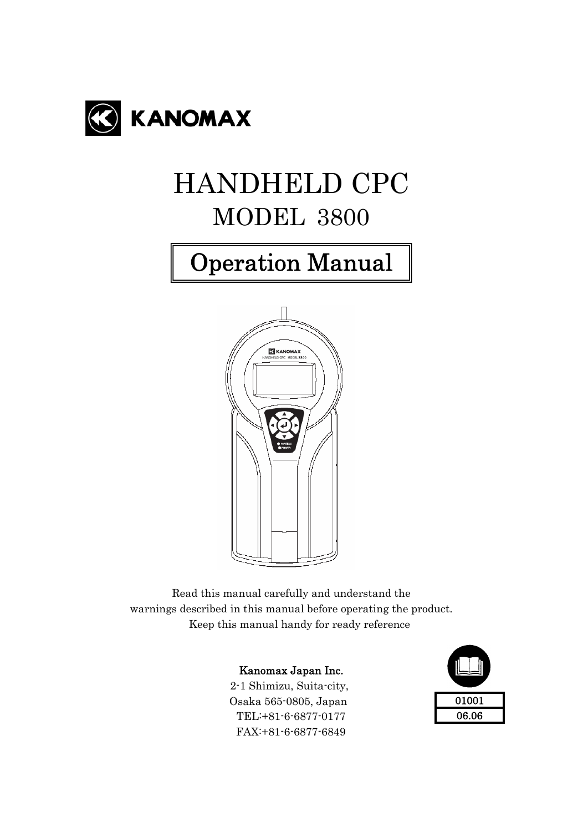

# HANDHELD CPC MODEL 3800

# Operation Manual



Read this manual carefully and understand the warnings described in this manual before operating the product. Keep this manual handy for ready reference

#### Kanomax Japan Inc.

 2-1 Shimizu, Suita-city, Osaka 565-0805, Japan TEL:+81-6-6877-0177 FAX:+81-6-6877-6849

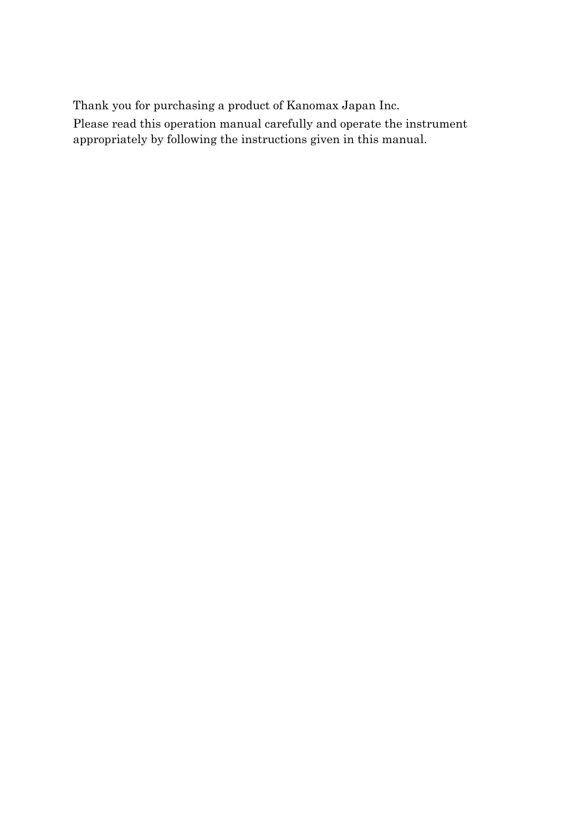Thank you for purchasing a product of Kanomax Japan Inc.

Please read this operation manual carefully and operate the instrument appropriately by following the instructions given in this manual.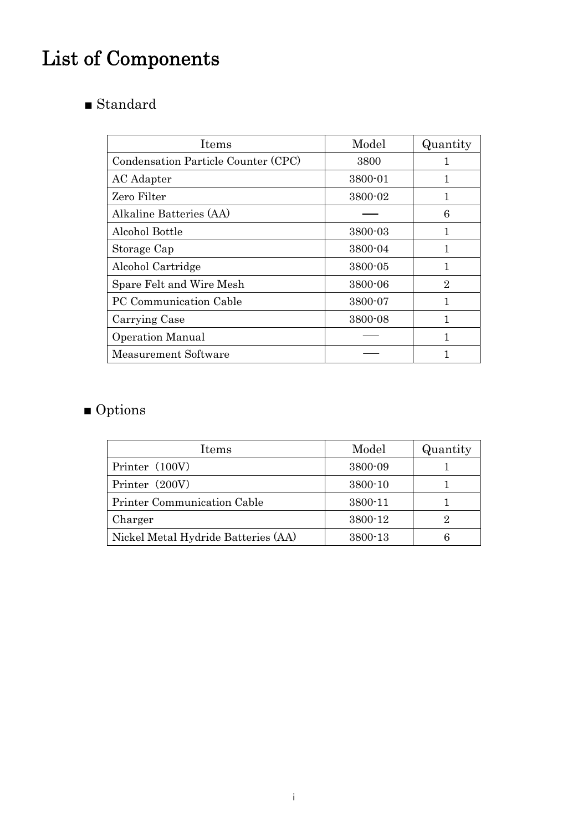# List of Components

■ Standard

| Items                               | Model   | Quantity |
|-------------------------------------|---------|----------|
| Condensation Particle Counter (CPC) | 3800    |          |
| AC Adapter                          | 3800-01 |          |
| Zero Filter                         | 3800-02 |          |
| Alkaline Batteries (AA)             |         | 6        |
| Alcohol Bottle                      | 3800-03 |          |
| Storage Cap                         | 3800-04 |          |
| Alcohol Cartridge                   | 3800-05 |          |
| Spare Felt and Wire Mesh            | 3800-06 | 2        |
| PC Communication Cable              | 3800-07 |          |
| Carrying Case                       | 3800-08 |          |
| <b>Operation Manual</b>             |         |          |
| Measurement Software                |         |          |

## ■ Options

| Items                               | Model   | Quantity |
|-------------------------------------|---------|----------|
| Printer (100V)                      | 3800-09 |          |
| Printer (200V)                      | 3800-10 |          |
| Printer Communication Cable         | 3800-11 |          |
| Charger                             | 3800-12 | 2        |
| Nickel Metal Hydride Batteries (AA) | 3800-13 |          |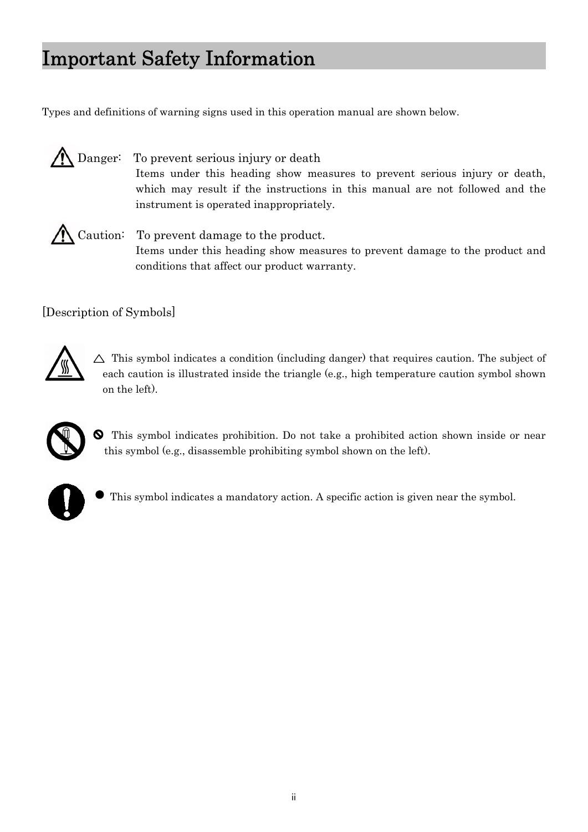Types and definitions of warning signs used in this operation manual are shown below.

 Danger: To prevent serious injury or death Items under this heading show measures to prevent serious injury or death, which may result if the instructions in this manual are not followed and the instrument is operated inappropriately.

Caution: To prevent damage to the product. Items under this heading show measures to prevent damage to the product and conditions that affect our product warranty.

[Description of Symbols]



 $\triangle$  This symbol indicates a condition (including danger) that requires caution. The subject of each caution is illustrated inside the triangle (e.g., high temperature caution symbol shown on the left).



This symbol indicates prohibition. Do not take a prohibited action shown inside or near this symbol (e.g., disassemble prohibiting symbol shown on the left).



This symbol indicates a mandatory action. A specific action is given near the symbol.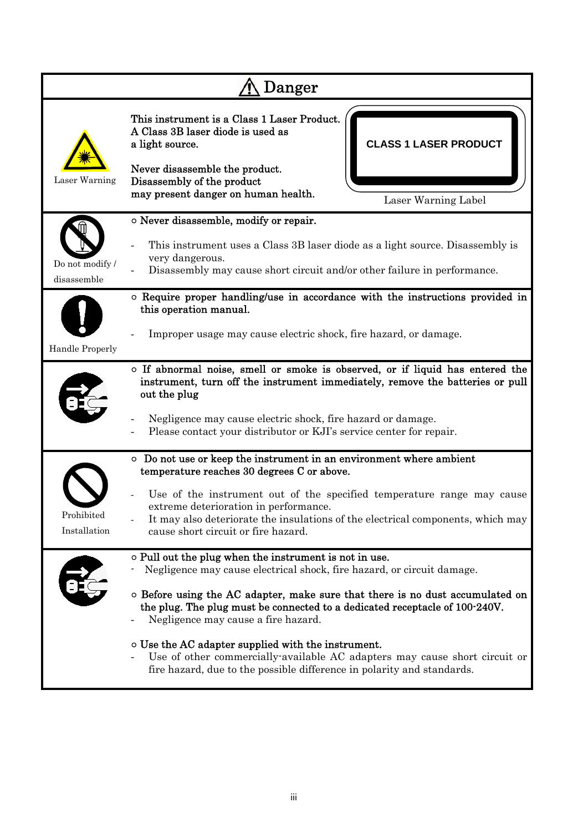| Danger                        |                                                                                                                                                                                                                                                                                                                                                                                                                                                                                                                                                             |  |  |  |
|-------------------------------|-------------------------------------------------------------------------------------------------------------------------------------------------------------------------------------------------------------------------------------------------------------------------------------------------------------------------------------------------------------------------------------------------------------------------------------------------------------------------------------------------------------------------------------------------------------|--|--|--|
| Laser Warning                 | This instrument is a Class 1 Laser Product.<br>A Class 3B laser diode is used as<br><b>CLASS 1 LASER PRODUCT</b><br>a light source.<br>Never disassemble the product.<br>Disassembly of the product<br>may present danger on human health.<br>Laser Warning Label                                                                                                                                                                                                                                                                                           |  |  |  |
| Do not modify/<br>disassemble | o Never disassemble, modify or repair.<br>This instrument uses a Class 3B laser diode as a light source. Disassembly is<br>very dangerous.<br>Disassembly may cause short circuit and/or other failure in performance.                                                                                                                                                                                                                                                                                                                                      |  |  |  |
| Handle Properly               | o Require proper handling/use in accordance with the instructions provided in<br>this operation manual.<br>Improper usage may cause electric shock, fire hazard, or damage.                                                                                                                                                                                                                                                                                                                                                                                 |  |  |  |
|                               | o If abnormal noise, smell or smoke is observed, or if liquid has entered the<br>instrument, turn off the instrument immediately, remove the batteries or pull<br>out the plug<br>Negligence may cause electric shock, fire hazard or damage.<br>Please contact your distributor or KJI's service center for repair.                                                                                                                                                                                                                                        |  |  |  |
| Prohibited<br>Installation    | • Do not use or keep the instrument in an environment where ambient<br>temperature reaches 30 degrees C or above.<br>Use of the instrument out of the specified temperature range may cause<br>extreme deterioration in performance.<br>It may also deteriorate the insulations of the electrical components, which may<br>cause short circuit or fire hazard.                                                                                                                                                                                              |  |  |  |
|                               | o Pull out the plug when the instrument is not in use.<br>Negligence may cause electrical shock, fire hazard, or circuit damage.<br>$\circ$ Before using the AC adapter, make sure that there is no dust accumulated on<br>the plug. The plug must be connected to a dedicated receptacle of 100-240V.<br>Negligence may cause a fire hazard.<br>o Use the AC adapter supplied with the instrument.<br>Use of other commercially available AC adapters may cause short circuit or<br>fire hazard, due to the possible difference in polarity and standards. |  |  |  |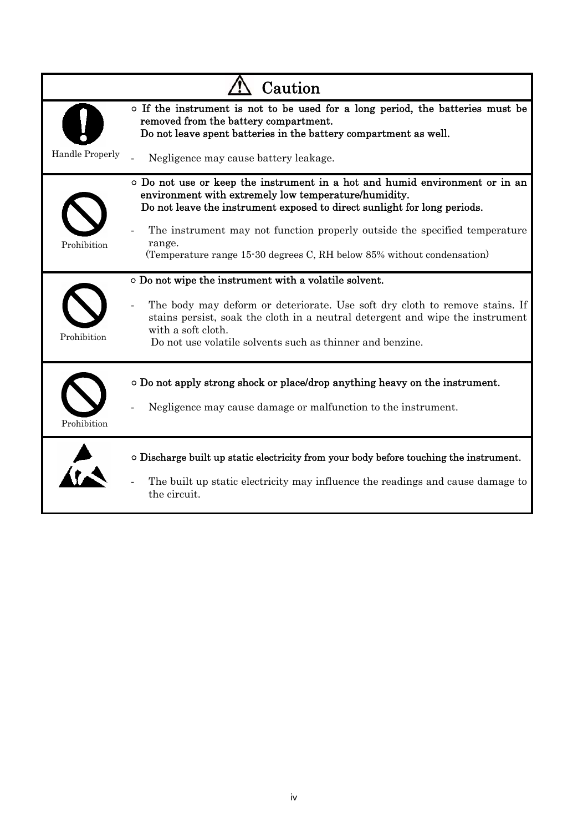|                        | Caution                                                                                                                                                                                                                                         |
|------------------------|-------------------------------------------------------------------------------------------------------------------------------------------------------------------------------------------------------------------------------------------------|
|                        | o If the instrument is not to be used for a long period, the batteries must be<br>removed from the battery compartment.<br>Do not leave spent batteries in the battery compartment as well.                                                     |
| <b>Handle Properly</b> | Negligence may cause battery leakage.                                                                                                                                                                                                           |
|                        | $\circ$ Do not use or keep the instrument in a hot and humid environment or in an<br>environment with extremely low temperature/humidity.<br>Do not leave the instrument exposed to direct sunlight for long periods.                           |
| Prohibition            | The instrument may not function properly outside the specified temperature<br>range.<br>(Temperature range 15-30 degrees C, RH below 85% without condensation)                                                                                  |
|                        | o Do not wipe the instrument with a volatile solvent.                                                                                                                                                                                           |
| Prohibition            | The body may deform or deteriorate. Use soft dry cloth to remove stains. If<br>stains persist, soak the cloth in a neutral detergent and wipe the instrument<br>with a soft cloth.<br>Do not use volatile solvents such as thinner and benzine. |
|                        | $\circ$ Do not apply strong shock or place/drop anything heavy on the instrument.                                                                                                                                                               |
| Prohibition            | Negligence may cause damage or malfunction to the instrument.                                                                                                                                                                                   |
|                        | O Discharge built up static electricity from your body before touching the instrument.                                                                                                                                                          |
|                        | The built up static electricity may influence the readings and cause damage to<br>the circuit.                                                                                                                                                  |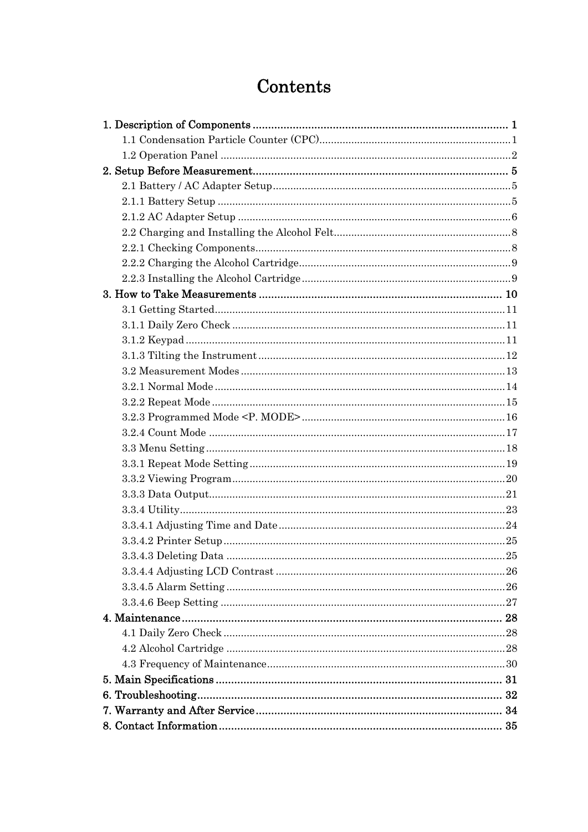## Contents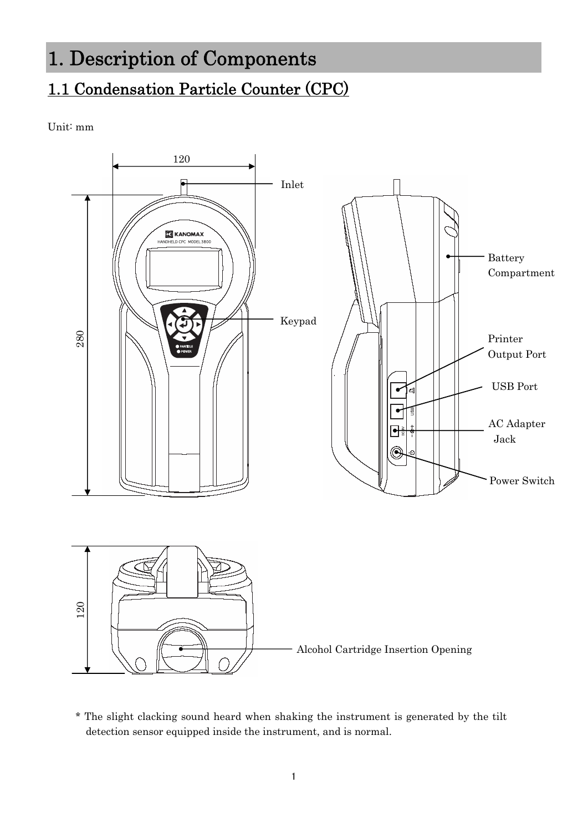## <span id="page-7-0"></span>1. Description of Components

## 1.1 Condensation Particle Counter (CPC)

Unit: mm



\* The slight clacking sound heard when shaking the instrument is generated by the tilt detection sensor equipped inside the instrument, and is normal.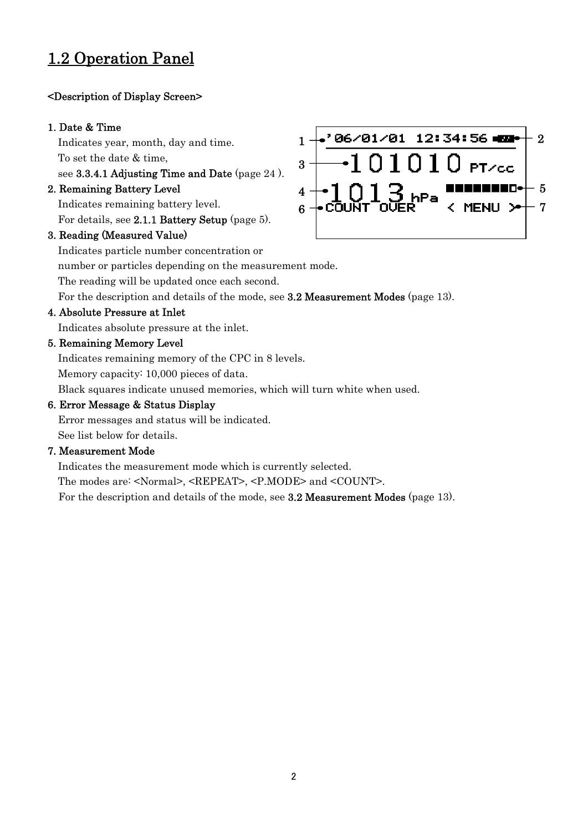### <span id="page-8-0"></span>1.2 Operation Panel

#### <Description of Display Screen>

#### 1. Date & Time

Indicates year, month, day and time. To set the date & time,

see 3.3.4.1 Adjusting Time and Date (page 24 ).

#### 2. Remaining Battery Level

Indicates remaining battery level. For details, see 2.1.1 Battery Setup (page 5).

#### 3. Reading (Measured Value)

 $_1$   $\rightarrow$  06/01/01 12:34:56 mm  $\rightarrow$   $_2$  $01010$  pt/cc 3  $^4$   $\texttt{\textcolor{red}{\bullet}}$   $\texttt{l}$   $\texttt{0}$   $\texttt{l}$   $\texttt{3}$   $_{\sf hPa}$  concernsive  $^+$   $^5$  $6 +$ COUNT OUER  $7 <$  MENU >  $+ 7$ 

Indicates particle number concentration or

number or particles depending on the measurement mode.

The reading will be updated once each second.

For the description and details of the mode, see 3.2 Measurement Modes (page 13).

#### 4. Absolute Pressure at Inlet

Indicates absolute pressure at the inlet.

#### 5. Remaining Memory Level

Indicates remaining memory of the CPC in 8 levels.

Memory capacity: 10,000 pieces of data.

Black squares indicate unused memories, which will turn white when used.

#### 6. Error Message & Status Display

Error messages and status will be indicated. See list below for details.

#### 7. Measurement Mode

Indicates the measurement mode which is currently selected.

The modes are: <Normal>, <REPEAT>, <P.MODE> and <COUNT>.

For the description and details of the mode, see 3.2 Measurement Modes (page 13).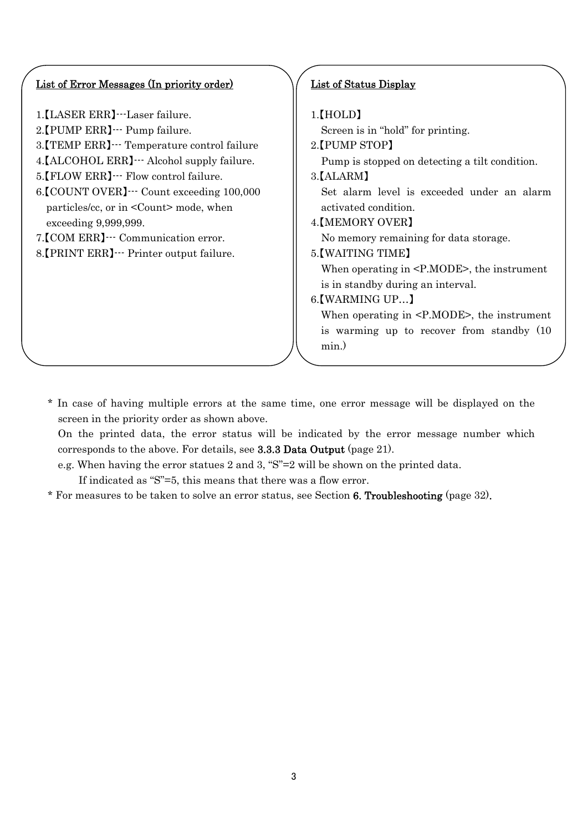#### List of Error Messages (In priority order)

- 1.【LASER ERR】---Laser failure.
- 2.【PUMP ERR】--- Pump failure.
- 3.【TEMP ERR】--- Temperature control failure
- 4.【ALCOHOL ERR】--- Alcohol supply failure.
- 5. [FLOW ERR] --- Flow control failure.
- 6.【COUNT OVER】--- Count exceeding 100,000 particles/cc, or in <Count> mode, when exceeding 9,999,999.
- 7.【COM ERR】--- Communication error.
- 8.【PRINT ERR】--- Printer output failure.

#### List of Status Display

#### 1.【HOLD】

Screen is in "hold" for printing.

2.【PUMP STOP】

Pump is stopped on detecting a tilt condition.

3.【ALARM】

 Set alarm level is exceeded under an alarm activated condition.

4.【MEMORY OVER】

No memory remaining for data storage.

5.【WAITING TIME】

 When operating in <P.MODE>, the instrument is in standby during an interval.

6.【WARMING UP…】

When operating in <P.MODE>, the instrument is warming up to recover from standby (10 min.)

\* In case of having multiple errors at the same time, one error message will be displayed on the screen in the priority order as shown above.

On the printed data, the error status will be indicated by the error message number which corresponds to the above. For details, see 3.3.3 Data Output (page 21).

e.g. When having the error statues 2 and 3, "S"=2 will be shown on the printed data.

If indicated as "S"=5, this means that there was a flow error.

\* For measures to be taken to solve an error status, see Section 6. Troubleshooting (page 32).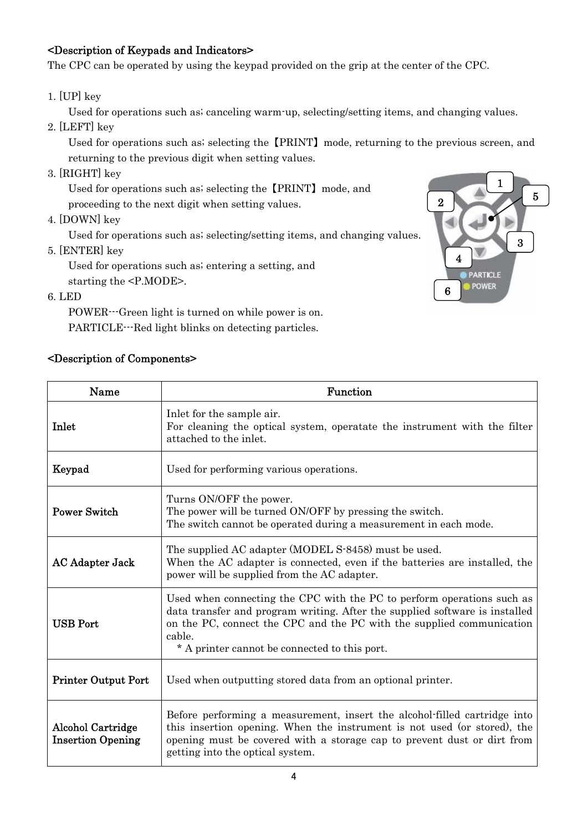#### <Description of Keypads and Indicators>

The CPC can be operated by using the keypad provided on the grip at the center of the CPC.

1. [UP] key

Used for operations such as; canceling warm-up, selecting/setting items, and changing values.

2. [LEFT] key

Used for operations such as; selecting the 【PRINT】 mode, returning to the previous screen, and returning to the previous digit when setting values.

3. [RIGHT] key

Used for operations such as; selecting the 【PRINT】 mode, and

proceeding to the next digit when setting values.

4. [DOWN] key

Used for operations such as; selecting/setting items, and changing values.

5. [ENTER] key

Used for operations such as; entering a setting, and starting the <P.MODE>.

6. LED

POWER---Green light is turned on while power is on. PARTICLE---Red light blinks on detecting particles.

#### <Description of Components>



| Name                                                 | Function                                                                                                                                                                                                                                                                                  |
|------------------------------------------------------|-------------------------------------------------------------------------------------------------------------------------------------------------------------------------------------------------------------------------------------------------------------------------------------------|
| Inlet                                                | Inlet for the sample air.<br>For cleaning the optical system, operatate the instrument with the filter<br>attached to the inlet.                                                                                                                                                          |
| Keypad                                               | Used for performing various operations.                                                                                                                                                                                                                                                   |
| <b>Power Switch</b>                                  | Turns ON/OFF the power.<br>The power will be turned ON/OFF by pressing the switch.<br>The switch cannot be operated during a measurement in each mode.                                                                                                                                    |
| <b>AC Adapter Jack</b>                               | The supplied AC adapter (MODEL S-8458) must be used.<br>When the AC adapter is connected, even if the batteries are installed, the<br>power will be supplied from the AC adapter.                                                                                                         |
| <b>USB Port</b>                                      | Used when connecting the CPC with the PC to perform operations such as<br>data transfer and program writing. After the supplied software is installed<br>on the PC, connect the CPC and the PC with the supplied communication<br>cable.<br>* A printer cannot be connected to this port. |
| <b>Printer Output Port</b>                           | Used when outputting stored data from an optional printer.                                                                                                                                                                                                                                |
| <b>Alcohol Cartridge</b><br><b>Insertion Opening</b> | Before performing a measurement, insert the alcohol-filled cartridge into<br>this insertion opening. When the instrument is not used (or stored), the<br>opening must be covered with a storage cap to prevent dust or dirt from<br>getting into the optical system.                      |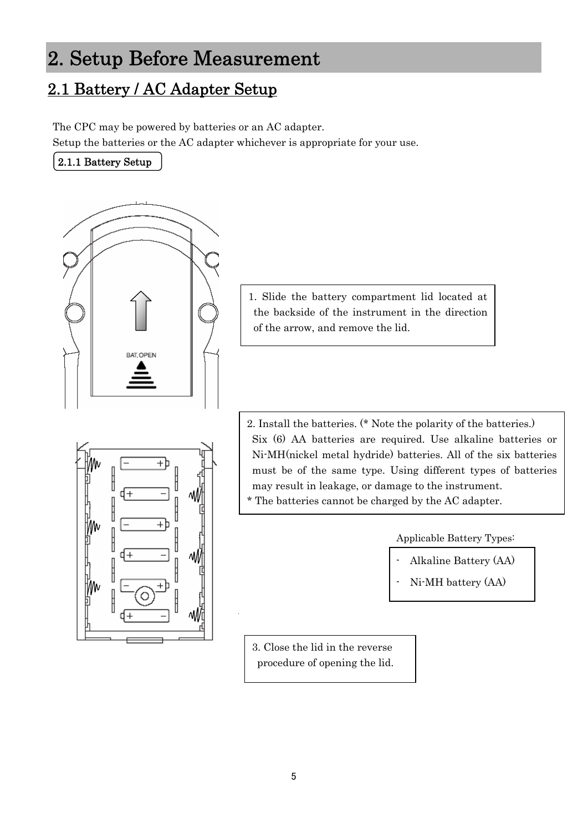## <span id="page-11-0"></span>2. Setup Before Measurement

## 2.1 Battery / AC Adapter Setup

The CPC may be powered by batteries or an AC adapter.

Setup the batteries or the AC adapter whichever is appropriate for your use.

#### 2.1.1 Battery Setup



1. Slide the battery compartment lid located at the backside of the instrument in the direction of the arrow, and remove the lid.

2. Install the batteries. (\* Note the polarity of the batteries.) Six (6) AA batteries are required. Use alkaline batteries or Ni-MH(nickel metal hydride) batteries. All of the six batteries must be of the same type. Using different types of batteries may result in leakage, or damage to the instrument. \* The batteries cannot be charged by the AC adapter.

Applicable Battery Types:

- Alkaline Battery (AA)
- Ni-MH battery (AA)

3. Close the lid in the reverse procedure of opening the lid.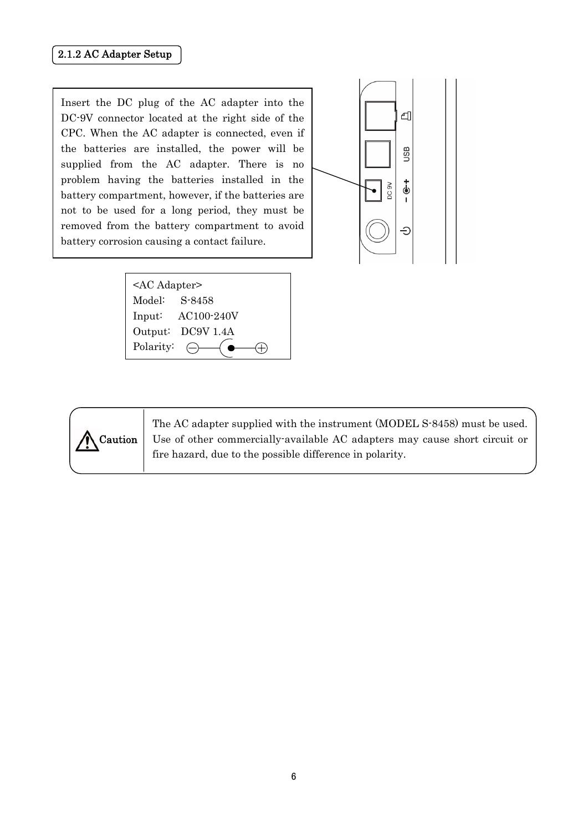#### <span id="page-12-0"></span>2.1.2 AC Adapter Setup

Insert the DC plug of the AC adapter into the DC-9V connector located at the right side of the CPC. When the AC adapter is connected, even if the batteries are installed, the power will be supplied from the AC adapter. There is no problem having the batteries installed in the battery compartment, however, if the batteries are not to be used for a long period, they must be removed from the battery compartment to avoid battery corrosion causing a contact failure.



<AC Adapter> Model: S-8458 Input: AC100-240V Output: DC9V 1.4A Polarity:  $\ominus$  $\oplus$ 



The AC adapter supplied with the instrument (MODEL S-8458) must be used. Use of other commercially-available AC adapters may cause short circuit or fire hazard, due to the possible difference in polarity.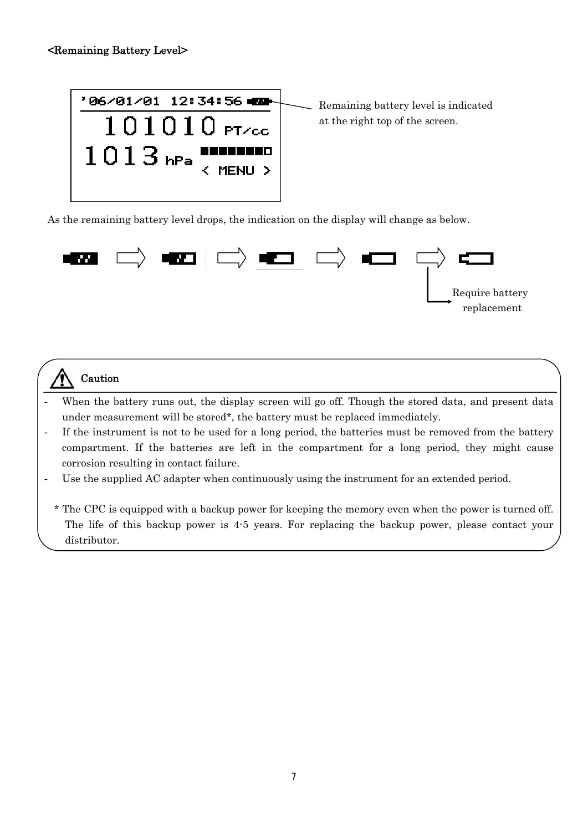

As the remaining battery level drops, the indication on the display will change as below.



### **Caution**

- When the battery runs out, the display screen will go off. Though the stored data, and present data under measurement will be stored\*, the battery must be replaced immediately.
- If the instrument is not to be used for a long period, the batteries must be removed from the battery compartment. If the batteries are left in the compartment for a long period, they might cause corrosion resulting in contact failure.
- Use the supplied AC adapter when continuously using the instrument for an extended period.
	- \* The CPC is equipped with a backup power for keeping the memory even when the power is turned off. The life of this backup power is 4-5 years. For replacing the backup power, please contact your distributor.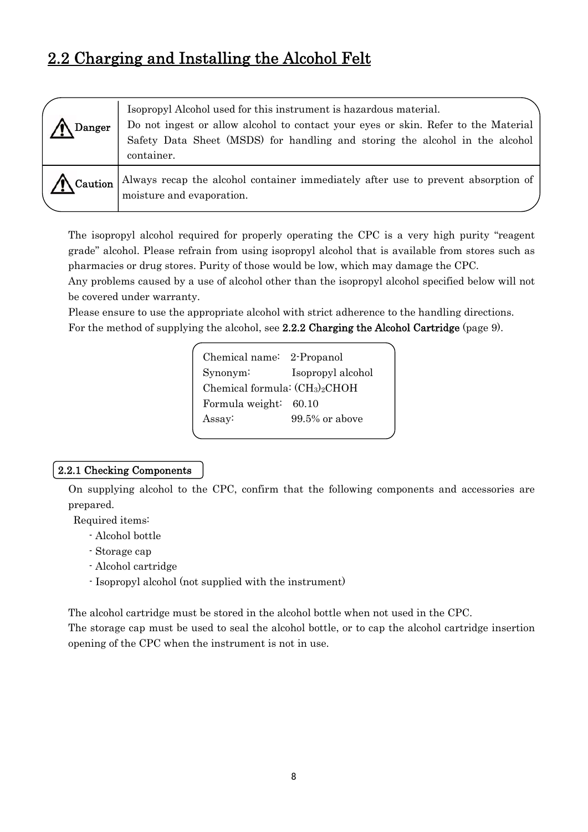### <span id="page-14-0"></span>2.2 Charging and Installing the Alcohol Felt

| Danger              | Isopropyl Alcohol used for this instrument is hazardous material.<br>Do not ingest or allow alcohol to contact your eyes or skin. Refer to the Material<br>Safety Data Sheet (MSDS) for handling and storing the alcohol in the alcohol<br>container. |
|---------------------|-------------------------------------------------------------------------------------------------------------------------------------------------------------------------------------------------------------------------------------------------------|
| $\bigwedge$ Caution | Always recap the alcohol container immediately after use to prevent absorption of<br>moisture and evaporation.                                                                                                                                        |

The isopropyl alcohol required for properly operating the CPC is a very high purity "reagent grade" alcohol. Please refrain from using isopropyl alcohol that is available from stores such as pharmacies or drug stores. Purity of those would be low, which may damage the CPC.

Any problems caused by a use of alcohol other than the isopropyl alcohol specified below will not be covered under warranty.

Please ensure to use the appropriate alcohol with strict adherence to the handling directions. For the method of supplying the alcohol, see 2.2.2 Charging the Alcohol Cartridge (page 9).

| Chemical name: 2-Propanol      |                   |  |  |  |  |
|--------------------------------|-------------------|--|--|--|--|
| $Synonym$ :                    | Isopropyl alcohol |  |  |  |  |
| Chemical formula: $(CH3)2CHOH$ |                   |  |  |  |  |
| Formula weight: 60.10          |                   |  |  |  |  |
| Assay:                         | $99.5\%$ or above |  |  |  |  |
|                                |                   |  |  |  |  |

#### 2.2.1 Checking Components

 On supplying alcohol to the CPC, confirm that the following components and accessories are prepared.

Required items:

- Alcohol bottle
- Storage cap
- Alcohol cartridge
- Isopropyl alcohol (not supplied with the instrument)

The alcohol cartridge must be stored in the alcohol bottle when not used in the CPC.

The storage cap must be used to seal the alcohol bottle, or to cap the alcohol cartridge insertion opening of the CPC when the instrument is not in use.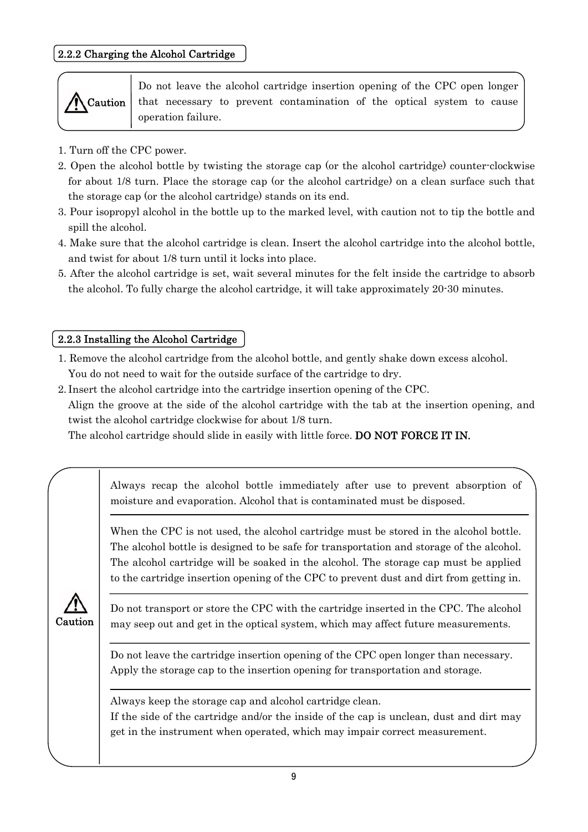#### <span id="page-15-0"></span>2.2.2 Charging the Alcohol Cartridge



Do not leave the alcohol cartridge insertion opening of the CPC open longer that necessary to prevent contamination of the optical system to cause operation failure.

- 1. Turn off the CPC power.
- 2. Open the alcohol bottle by twisting the storage cap (or the alcohol cartridge) counter-clockwise for about 1/8 turn. Place the storage cap (or the alcohol cartridge) on a clean surface such that the storage cap (or the alcohol cartridge) stands on its end.
- 3. Pour isopropyl alcohol in the bottle up to the marked level, with caution not to tip the bottle and spill the alcohol.
- 4. Make sure that the alcohol cartridge is clean. Insert the alcohol cartridge into the alcohol bottle, and twist for about 1/8 turn until it locks into place.
- 5. After the alcohol cartridge is set, wait several minutes for the felt inside the cartridge to absorb the alcohol. To fully charge the alcohol cartridge, it will take approximately 20-30 minutes.

#### 2.2.3 Installing the Alcohol Cartridge

- 1. Remove the alcohol cartridge from the alcohol bottle, and gently shake down excess alcohol. You do not need to wait for the outside surface of the cartridge to dry.
- 2. Insert the alcohol cartridge into the cartridge insertion opening of the CPC. Align the groove at the side of the alcohol cartridge with the tab at the insertion opening, and twist the alcohol cartridge clockwise for about 1/8 turn.

The alcohol cartridge should slide in easily with little force. DO NOT FORCE IT IN.

|  |  | Always recap the alcohol bottle immediately after use to prevent absorption of |  |  |  |
|--|--|--------------------------------------------------------------------------------|--|--|--|
|  |  | moisture and evaporation. Alcohol that is contaminated must be disposed.       |  |  |  |

When the CPC is not used, the alcohol cartridge must be stored in the alcohol bottle. The alcohol bottle is designed to be safe for transportation and storage of the alcohol. The alcohol cartridge will be soaked in the alcohol. The storage cap must be applied to the cartridge insertion opening of the CPC to prevent dust and dirt from getting in.



 $\overline{1}$ 

 $\overline{\phantom{a}}$ 

Do not transport or store the CPC with the cartridge inserted in the CPC. The alcohol may seep out and get in the optical system, which may affect future measurements.

Do not leave the cartridge insertion opening of the CPC open longer than necessary. Apply the storage cap to the insertion opening for transportation and storage.

Always keep the storage cap and alcohol cartridge clean.

If the side of the cartridge and/or the inside of the cap is unclean, dust and dirt may get in the instrument when operated, which may impair correct measurement.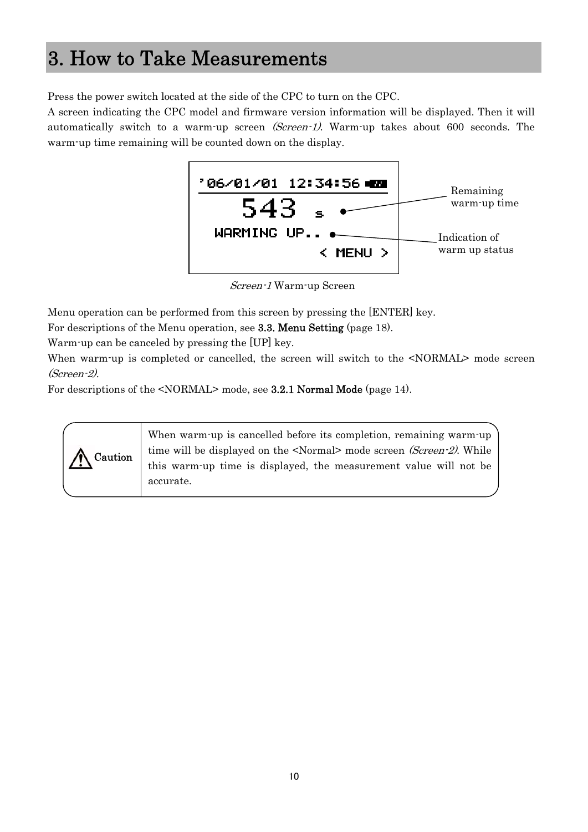## <span id="page-16-0"></span>3. How to Take Measurements

Press the power switch located at the side of the CPC to turn on the CPC.

A screen indicating the CPC model and firmware version information will be displayed. Then it will automatically switch to a warm-up screen *(Screen-1)*. Warm-up takes about 600 seconds. The warm-up time remaining will be counted down on the display.



Screen-1 Warm-up Screen

Menu operation can be performed from this screen by pressing the [ENTER] key.

For descriptions of the Menu operation, see 3.3. Menu Setting (page 18).

Warm-up can be canceled by pressing the [UP] key.

When warm-up is completed or cancelled, the screen will switch to the  $\leq NORMAL$  mode screen (Screen-2).

For descriptions of the <NORMAL> mode, see 3.2.1 Normal Mode (page 14).

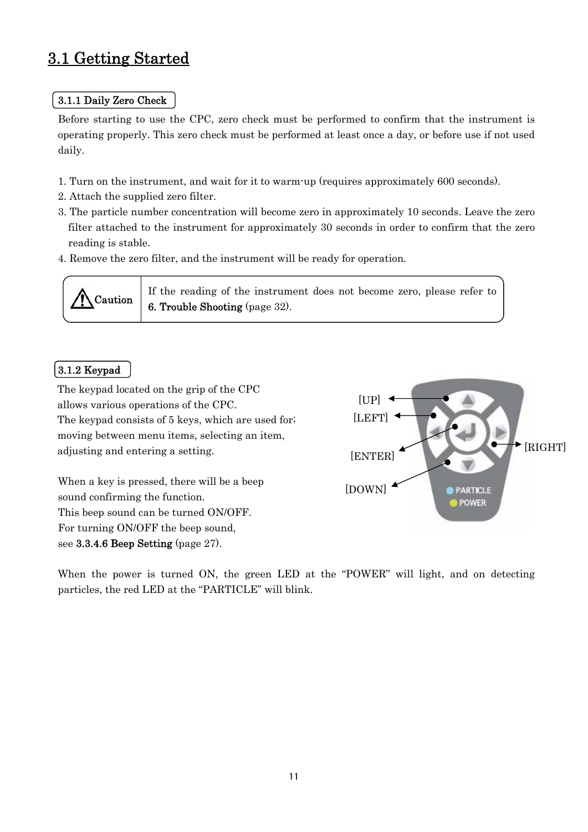### <span id="page-17-0"></span>3.1 Getting Started

#### 3.1.1 Daily Zero Check

 Before starting to use the CPC, zero check must be performed to confirm that the instrument is operating properly. This zero check must be performed at least once a day, or before use if not used daily.

- 1. Turn on the instrument, and wait for it to warm-up (requires approximately 600 seconds).
- 2. Attach the supplied zero filter.
- 3. The particle number concentration will become zero in approximately 10 seconds. Leave the zero filter attached to the instrument for approximately 30 seconds in order to confirm that the zero reading is stable.
- 4. Remove the zero filter, and the instrument will be ready for operation.



If the reading of the instrument does not become zero, please refer to  $\Delta \text{Caution}$   $\begin{bmatrix} 1 & \text{the resulting of the fixed and} \\ 6 & \text{Trouble} \end{bmatrix}$ 

#### 3.1.2 Keypad

The keypad located on the grip of the CPC allows various operations of the CPC. The keypad consists of 5 keys, which are used for; moving between menu items, selecting an item, adjusting and entering a setting.

When a key is pressed, there will be a beep sound confirming the function. This beep sound can be turned ON/OFF. For turning ON/OFF the beep sound, see 3.3.4.6 Beep Setting (page 27).



When the power is turned ON, the green LED at the "POWER" will light, and on detecting particles, the red LED at the "PARTICLE" will blink.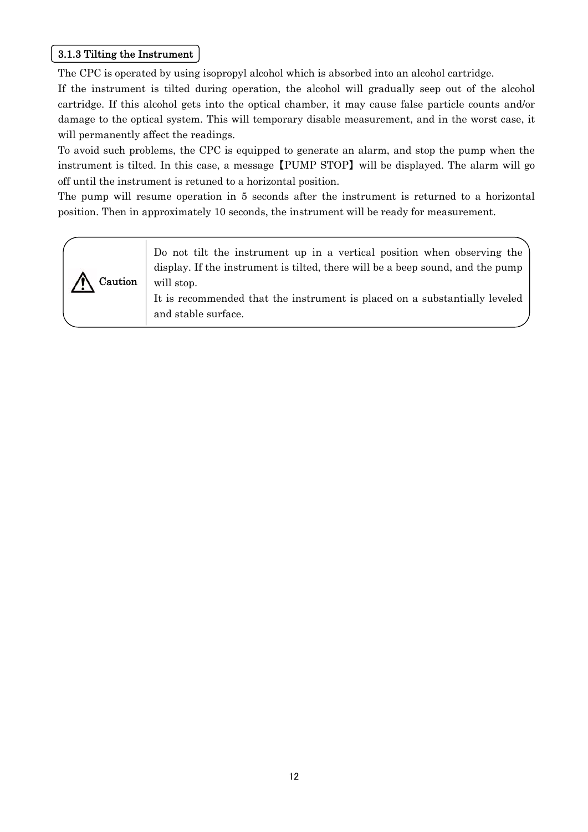#### <span id="page-18-0"></span>3.1.3 Tilting the Instrument

The CPC is operated by using isopropyl alcohol which is absorbed into an alcohol cartridge.

If the instrument is tilted during operation, the alcohol will gradually seep out of the alcohol cartridge. If this alcohol gets into the optical chamber, it may cause false particle counts and/or damage to the optical system. This will temporary disable measurement, and in the worst case, it will permanently affect the readings.

To avoid such problems, the CPC is equipped to generate an alarm, and stop the pump when the instrument is tilted. In this case, a message 【PUMP STOP】 will be displayed. The alarm will go off until the instrument is retuned to a horizontal position.

The pump will resume operation in 5 seconds after the instrument is returned to a horizontal position. Then in approximately 10 seconds, the instrument will be ready for measurement.

| Caution | Do not tilt the instrument up in a vertical position when observing the<br>display. If the instrument is tilted, there will be a beep sound, and the pump<br>will stop.<br>It is recommended that the instrument is placed on a substantially leveled<br>and stable surface. |
|---------|------------------------------------------------------------------------------------------------------------------------------------------------------------------------------------------------------------------------------------------------------------------------------|
|---------|------------------------------------------------------------------------------------------------------------------------------------------------------------------------------------------------------------------------------------------------------------------------------|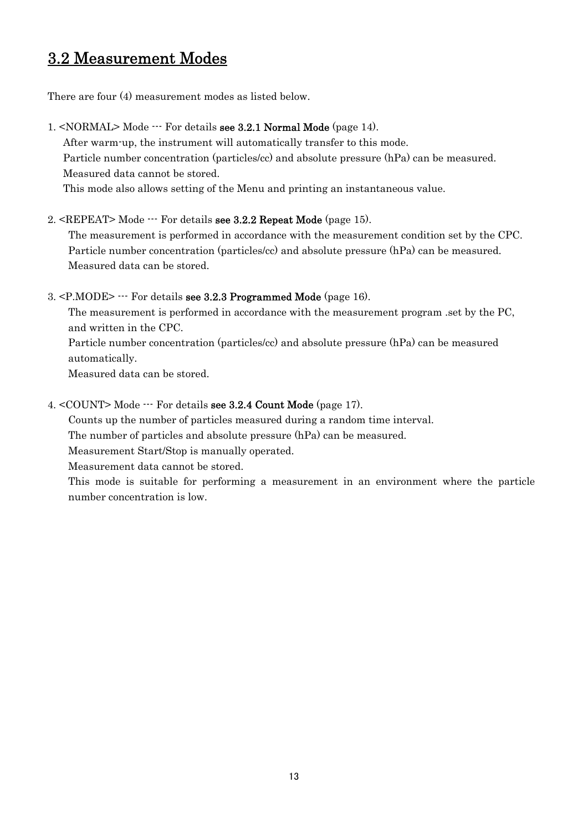### <span id="page-19-0"></span>3.2 Measurement Modes

There are four (4) measurement modes as listed below.

1. <NORMAL> Mode --- For details see 3.2.1 Normal Mode (page 14). After warm-up, the instrument will automatically transfer to this mode. Particle number concentration (particles/cc) and absolute pressure (hPa) can be measured. Measured data cannot be stored.

This mode also allows setting of the Menu and printing an instantaneous value.

#### 2. <REPEAT> Mode --- For details see 3.2.2 Repeat Mode (page 15).

 The measurement is performed in accordance with the measurement condition set by the CPC. Particle number concentration (particles/cc) and absolute pressure (hPa) can be measured. Measured data can be stored.

#### 3. <P.MODE> --- For details see 3.2.3 Programmed Mode (page 16).

The measurement is performed in accordance with the measurement program .set by the PC, and written in the CPC.

Particle number concentration (particles/cc) and absolute pressure (hPa) can be measured automatically.

Measured data can be stored.

#### 4. <COUNT> Mode --- For details see 3.2.4 Count Mode (page 17).

Counts up the number of particles measured during a random time interval.

The number of particles and absolute pressure (hPa) can be measured.

Measurement Start/Stop is manually operated.

Measurement data cannot be stored.

This mode is suitable for performing a measurement in an environment where the particle number concentration is low.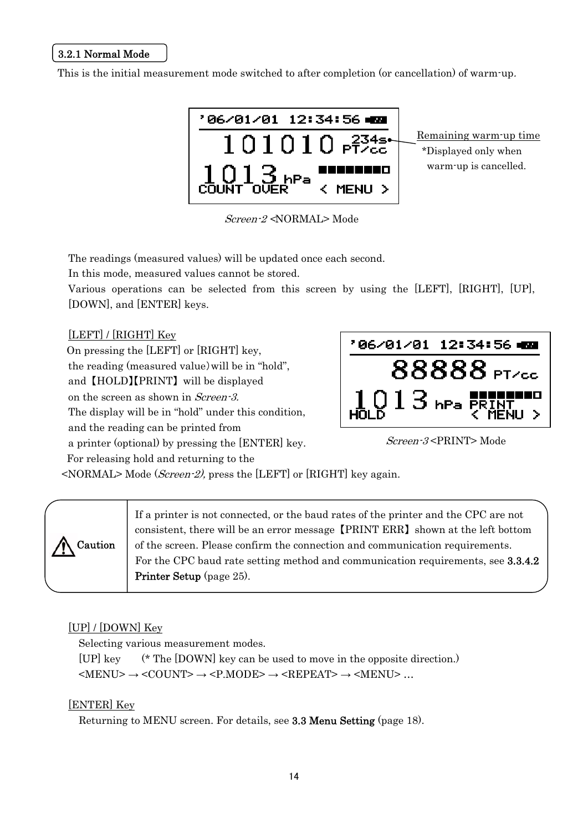#### <span id="page-20-0"></span>3.2.1 Normal Mode

This is the initial measurement mode switched to after completion (or cancellation) of warm-up.



Screen-2 <NORMAL> Mode

The readings (measured values) will be updated once each second.

In this mode, measured values cannot be stored.

Various operations can be selected from this screen by using the [LEFT], [RIGHT], [UP], [DOWN], and [ENTER] keys.

[LEFT] / [RIGHT] Key

On pressing the [LEFT] or [RIGHT] key,

the reading (measured value)will be in "hold",

and 【HOLD】【PRINT】 will be displayed

on the screen as shown in Screen-3.

The display will be in "hold" under this condition,

and the reading can be printed from

a printer (optional) by pressing the [ENTER] key.



Screen-3 <PRINT> Mode

 For releasing hold and returning to the <NORMAL> Mode (Screen-2), press the [LEFT] or [RIGHT] key again.

| If a printer is not connected, or the baud rates of the printer and the CPC are not<br>consistent, there will be an error message [PRINT ERR] shown at the left bottom<br>Caution<br>of the screen. Please confirm the connection and communication requirements.<br>For the CPC baud rate setting method and communication requirements, see 3.3.4.2<br>Printer Setup (page 25). |  |
|-----------------------------------------------------------------------------------------------------------------------------------------------------------------------------------------------------------------------------------------------------------------------------------------------------------------------------------------------------------------------------------|--|
|-----------------------------------------------------------------------------------------------------------------------------------------------------------------------------------------------------------------------------------------------------------------------------------------------------------------------------------------------------------------------------------|--|

#### [UP] / [DOWN] Key

Selecting various measurement modes.

[UP] key (\* The [DOWN] key can be used to move in the opposite direction.)  $\leq MENU$ >  $\rightarrow \leq COUNT$ >  $\rightarrow \leq P.MODE$ >  $\rightarrow \leq REPEAT$ >  $\rightarrow \leq MENU$ > ...

#### [ENTER] Key

Returning to MENU screen. For details, see 3.3 Menu Setting (page 18).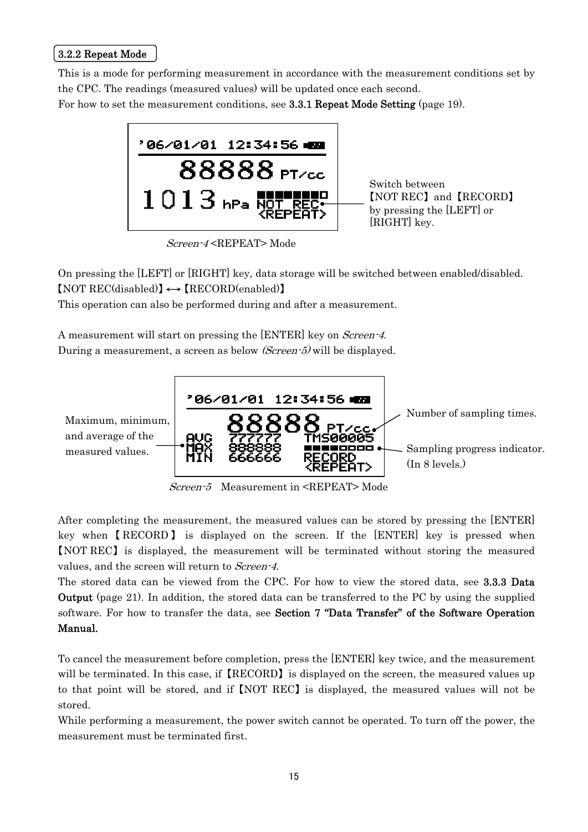#### <span id="page-21-0"></span>3.2.2 Repeat Mode

This is a mode for performing measurement in accordance with the measurement conditions set by the CPC. The readings (measured values) will be updated once each second. For how to set the measurement conditions, see 3.3.1 Repeat Mode Setting (page 19).



Switch between 【NOT REC】 and 【RECORD】 by pressing the [LEFT] or [RIGHT] key.

Screen-4 <REPEAT> Mode

On pressing the [LEFT] or [RIGHT] key, data storage will be switched between enabled/disabled.  $[NOT REC(disabeled)] \leftrightarrow [RECORD(enabeled)]$ 

This operation can also be performed during and after a measurement.

A measurement will start on pressing the [ENTER] key on *Screen-4*. During a measurement, a screen as below (Screen-5) will be displayed.



Screen-5 Measurement in <REPEAT> Mode

After completing the measurement, the measured values can be stored by pressing the [ENTER] key when 【 RECORD 】 is displayed on the screen. If the [ENTER] key is pressed when 【NOT REC】 is displayed, the measurement will be terminated without storing the measured values, and the screen will return to Screen-4.

The stored data can be viewed from the CPC. For how to view the stored data, see 3.3.3 Data Output (page 21). In addition, the stored data can be transferred to the PC by using the supplied software. For how to transfer the data, see Section 7 "Data Transfer" of the Software Operation Manual.

To cancel the measurement before completion, press the [ENTER] key twice, and the measurement will be terminated. In this case, if 【RECORD】 is displayed on the screen, the measured values up to that point will be stored, and if 【NOT REC】 is displayed, the measured values will not be stored.

While performing a measurement, the power switch cannot be operated. To turn off the power, the measurement must be terminated first.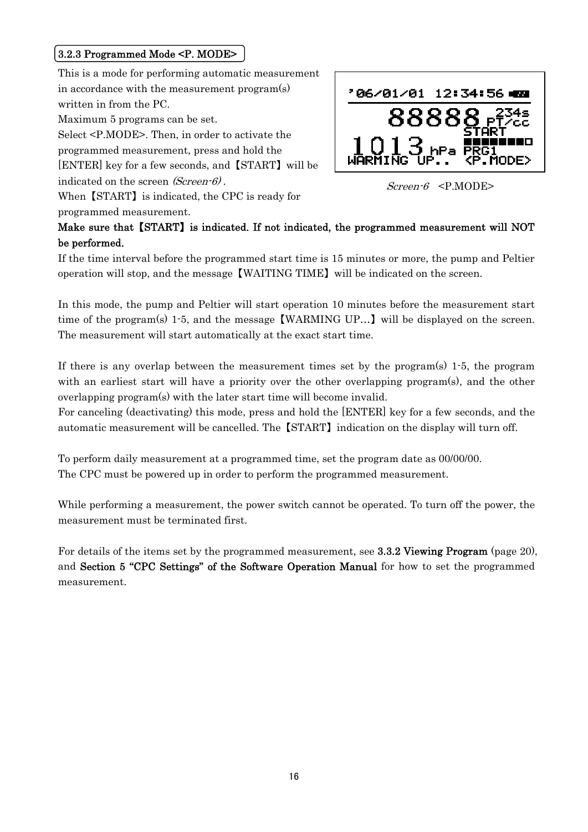#### <span id="page-22-0"></span>3.2.3 Programmed Mode <P. MODE>

This is a mode for performing automatic measurement in accordance with the measurement program(s) written in from the PC. Maximum 5 programs can be set. Select <P.MODE>. Then, in order to activate the programmed measurement, press and hold the [ENTER] key for a few seconds, and 【START】 will be indicated on the screen  $(Screen-6)$ .<br>Screen-6 <P.MODE> When 【START】 is indicated, the CPC is ready for

programmed measurement.



#### Make sure that 【START】 is indicated. If not indicated, the programmed measurement will NOT be performed.

If the time interval before the programmed start time is 15 minutes or more, the pump and Peltier operation will stop, and the message 【WAITING TIME】 will be indicated on the screen.

In this mode, the pump and Peltier will start operation 10 minutes before the measurement start time of the program(s) 1-5, and the message 【WARMING UP…】 will be displayed on the screen. The measurement will start automatically at the exact start time.

If there is any overlap between the measurement times set by the program $(s)$  1.5, the program with an earliest start will have a priority over the other overlapping program(s), and the other overlapping program(s) with the later start time will become invalid.

For canceling (deactivating) this mode, press and hold the [ENTER] key for a few seconds, and the automatic measurement will be cancelled. The 【START】 indication on the display will turn off.

To perform daily measurement at a programmed time, set the program date as 00/00/00. The CPC must be powered up in order to perform the programmed measurement.

While performing a measurement, the power switch cannot be operated. To turn off the power, the measurement must be terminated first.

For details of the items set by the programmed measurement, see 3.3.2 Viewing Program (page 20), and Section 5 "CPC Settings" of the Software Operation Manual for how to set the programmed measurement.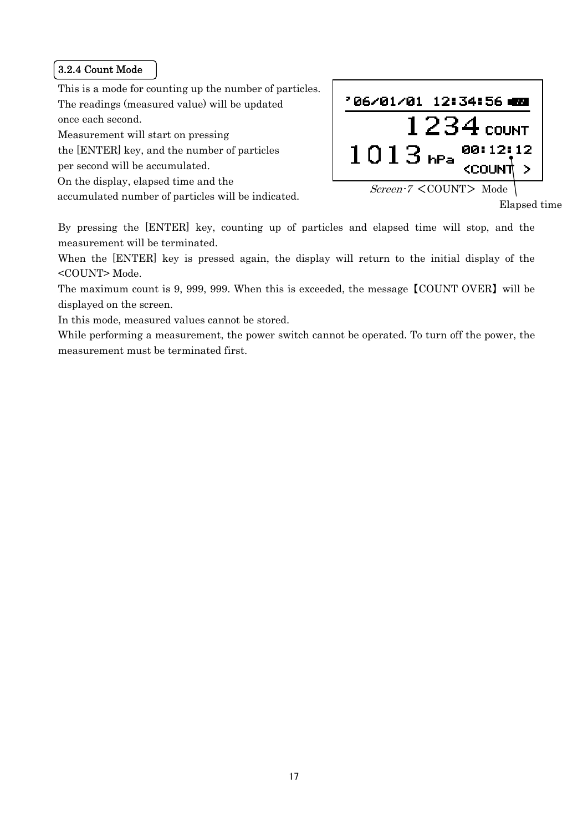#### <span id="page-23-0"></span>3.2.4 Count Mode

This is a mode for counting up the number of particles. The readings (measured value) will be updated once each second.

Measurement will start on pressing

the [ENTER] key, and the number of particles

per second will be accumulated.

On the display, elapsed time and the

accumulated number of particles will be indicated.

'06/01/01 12:34:56 420  $1234$  COUNT  $1013$  hPa  $^{00112112}_{\text{cound}}$  $\rightarrow$ Screen-7 <COUNT> Mode

Elapsed time

By pressing the [ENTER] key, counting up of particles and elapsed time will stop, and the measurement will be terminated.

When the [ENTER] key is pressed again, the display will return to the initial display of the <COUNT> Mode.

The maximum count is 9, 999, 999. When this is exceeded, the message 【COUNT OVER】 will be displayed on the screen.

In this mode, measured values cannot be stored.

While performing a measurement, the power switch cannot be operated. To turn off the power, the measurement must be terminated first.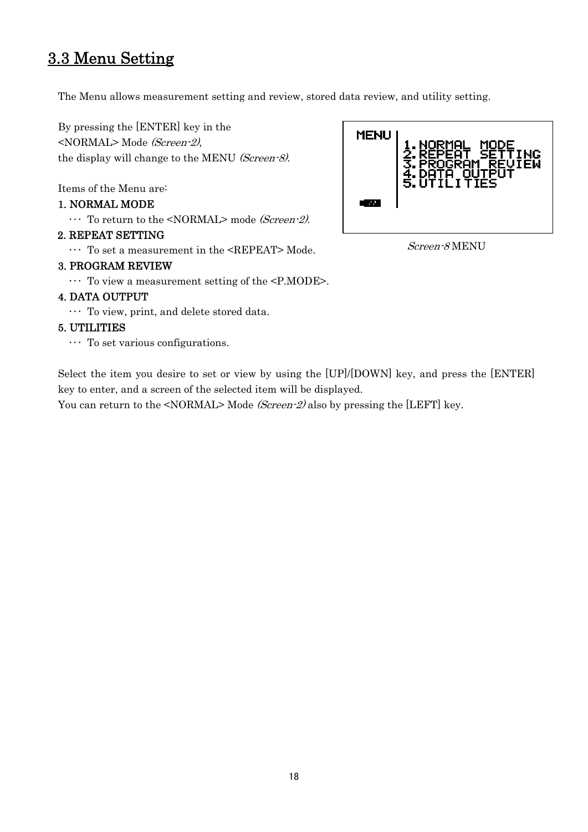### <span id="page-24-0"></span>3.3 Menu Setting

The Menu allows measurement setting and review, stored data review, and utility setting.

By pressing the [ENTER] key in the <NORMAL> Mode (Screen-2), the display will change to the MENU (Screen-8).

Items of the Menu are:

#### 1. NORMAL MODE

 $\cdots$  To return to the <NORMAL> mode *(Screen-2)*.

#### 2. REPEAT SETTING

 $\cdots$  To set a measurement in the <REPEAT> Mode.  $Screen-8\,$  MENU

#### 3. PROGRAM REVIEW

・・・ To view a measurement setting of the <P.MODE>.

#### 4. DATA OUTPUT

・・・ To view, print, and delete stored data.

#### 5. UTILITIES

 $\cdots$  To set various configurations.

Select the item you desire to set or view by using the [UP]/[DOWN] key, and press the [ENTER] key to enter, and a screen of the selected item will be displayed.

You can return to the <NORMAL> Mode (Screen-2) also by pressing the [LEFT] key.

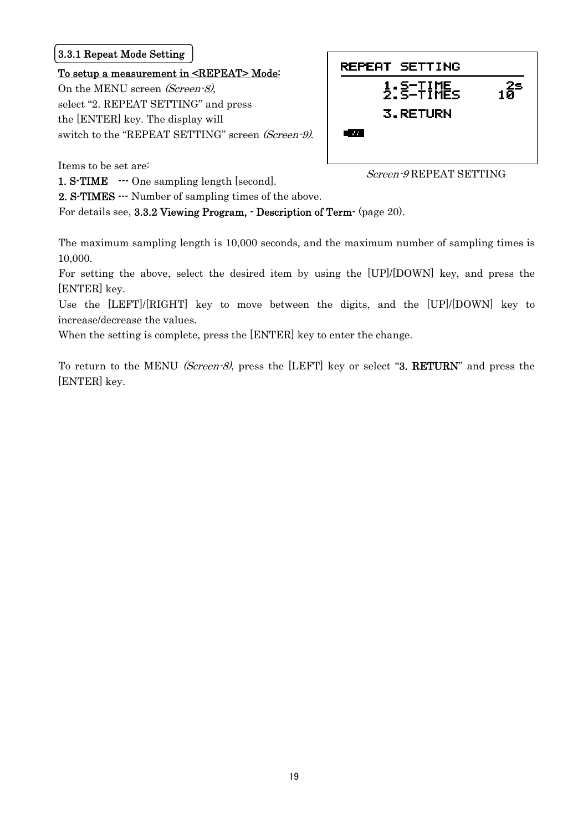#### <span id="page-25-0"></span>3.3.1 Repeat Mode Setting

#### To setup a measurement in <REPEAT> Mode:

On the MENU screen (Screen-8), select "2. REPEAT SETTING" and press the [ENTER] key. The display will switch to the "REPEAT SETTING" screen (Screen-9).

| REPEAT SETTING                                     |           |
|----------------------------------------------------|-----------|
| $\frac{1}{2}$ : $\frac{5}{2}$ - $\frac{7}{2}$ HHEs | $10^{25}$ |
| 3.RETURN                                           |           |
| . .                                                |           |
|                                                    |           |

Items to be set are:

1. S-TIME  $\cdot$ --- One sampling length [second]. Screen-9 REPEAT SETTING

2. S-TIMES --- Number of sampling times of the above.

For details see, 3.3.2 Viewing Program, - Description of Term- (page 20).

The maximum sampling length is 10,000 seconds, and the maximum number of sampling times is 10,000.

For setting the above, select the desired item by using the [UP]/[DOWN] key, and press the [ENTER] key.

Use the [LEFT]/[RIGHT] key to move between the digits, and the [UP]/[DOWN] key to increase/decrease the values.

When the setting is complete, press the [ENTER] key to enter the change.

To return to the MENU (Screen-8), press the [LEFT] key or select "3. RETURN" and press the [ENTER] key.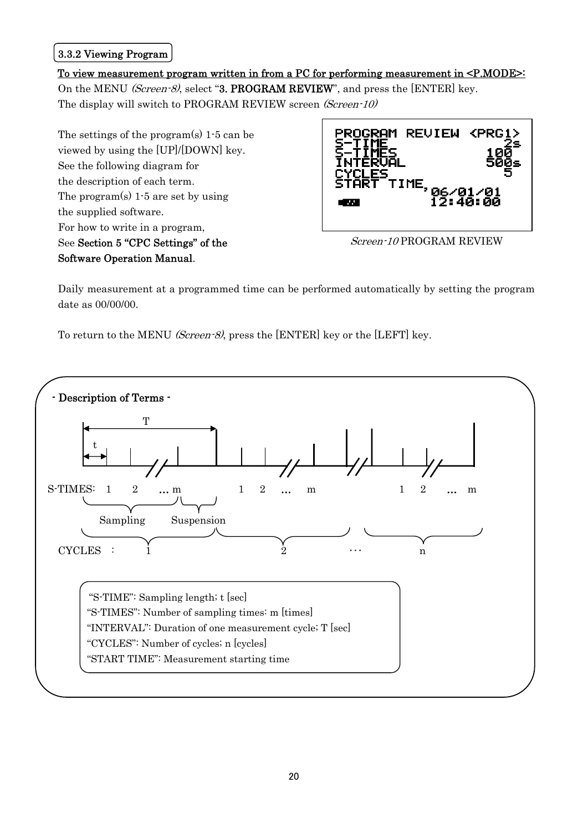#### <span id="page-26-0"></span>3.3.2 Viewing Program

#### To view measurement program written in from a PC for performing measurement in <P.MODE>: On the MENU *(Screen-8)*, select "3. PROGRAM REVIEW", and press the [ENTER] key. The display will switch to PROGRAM REVIEW screen (Screen-10)

 The settings of the program(s) 1-5 can be viewed by using the [UP]/[DOWN] key. See the following diagram for the description of each term. The program(s) 1-5 are set by using the supplied software. For how to write in a program, See Section 5 "CPC Settings" of the Screen-10 PROGRAM REVIEW Software Operation Manual.



Daily measurement at a programmed time can be performed automatically by setting the program date as 00/00/00.

To return to the MENU (Screen-8), press the [ENTER] key or the [LEFT] key.

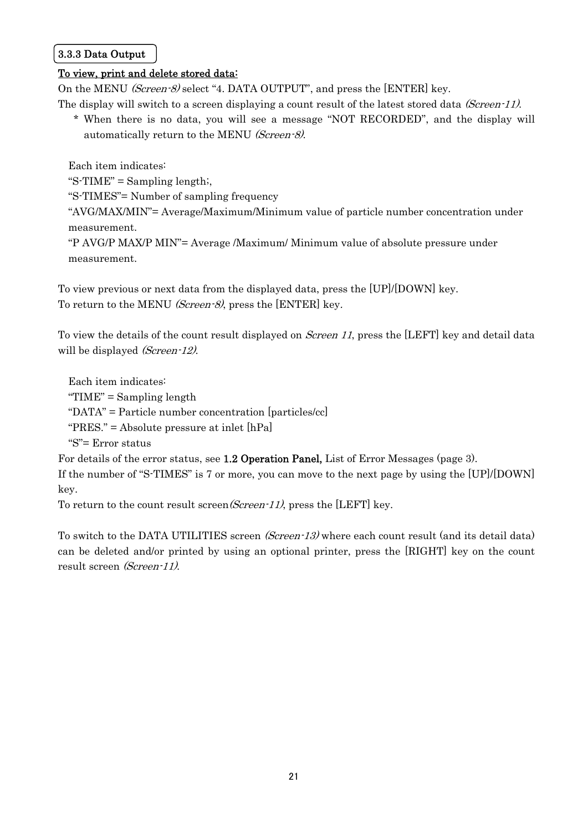#### <span id="page-27-0"></span>3.3.3 Data Output

#### To view, print and delete stored data:

On the MENU *(Screen-8)* select "4. DATA OUTPUT", and press the [ENTER] key. The display will switch to a screen displaying a count result of the latest stored data *(Screen-11)*.

 \* When there is no data, you will see a message "NOT RECORDED", and the display will automatically return to the MENU (Screen-8).

Each item indicates:

" $S$ -TIME" = Sampling length;

"S-TIMES"= Number of sampling frequency

"AVG/MAX/MIN"= Average/Maximum/Minimum value of particle number concentration under measurement.

"P AVG/P MAX/P MIN"= Average /Maximum/ Minimum value of absolute pressure under measurement.

To view previous or next data from the displayed data, press the [UP]/[DOWN] key. To return to the MENU *(Screen-8)*, press the [ENTER] key.

To view the details of the count result displayed on Screen 11, press the [LEFT] key and detail data will be displayed (Screen-12).

Each item indicates: " $TIME" = Sampling length$ "DATA" = Particle number concentration [particles/cc] "PRES." = Absolute pressure at inlet [hPa] "S"= Error status

For details of the error status, see 1.2 Operation Panel, List of Error Messages (page 3). If the number of "S-TIMES" is 7 or more, you can move to the next page by using the [UP]/[DOWN] key.

To return to the count result screen(Screen-11), press the [LEFT] key.

To switch to the DATA UTILITIES screen (Screen-13) where each count result (and its detail data) can be deleted and/or printed by using an optional printer, press the [RIGHT] key on the count result screen (Screen-11).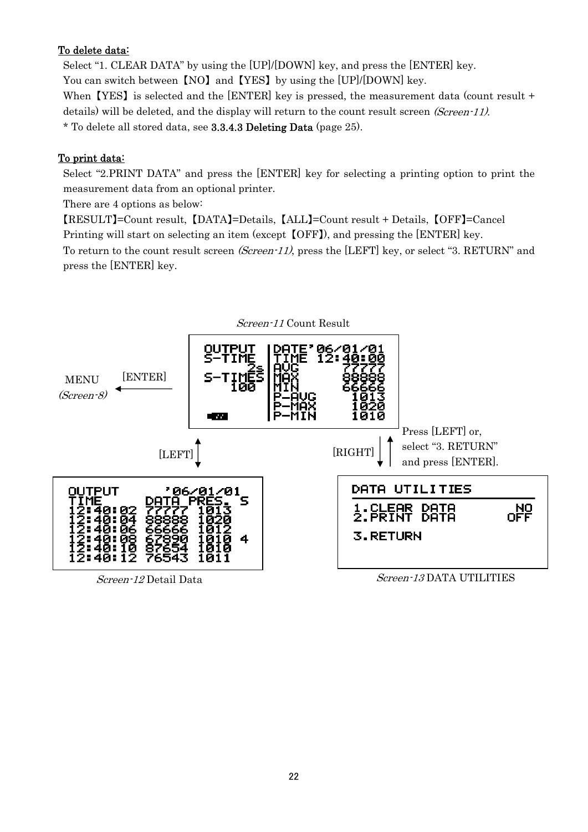#### To delete data:

Select "1. CLEAR DATA" by using the [UP]/[DOWN] key, and press the [ENTER] key. You can switch between 【NO】 and 【YES】 by using the [UP]/[DOWN] key. When **[YES]** is selected and the [ENTER] key is pressed, the measurement data (count result + details) will be deleted, and the display will return to the count result screen *(Screen-11)*. \* To delete all stored data, see 3.3.4.3 Deleting Data (page 25).

#### To print data:

Select "2.PRINT DATA" and press the [ENTER] key for selecting a printing option to print the measurement data from an optional printer.

There are 4 options as below:

【RESULT】=Count result, 【DATA】=Details, 【ALL】=Count result + Details, 【OFF】=Cancel Printing will start on selecting an item (except  $[OFF]$ ), and pressing the [ENTER] key. To return to the count result screen (Screen-11), press the [LEFT] key, or select "3. RETURN" and press the [ENTER] key.

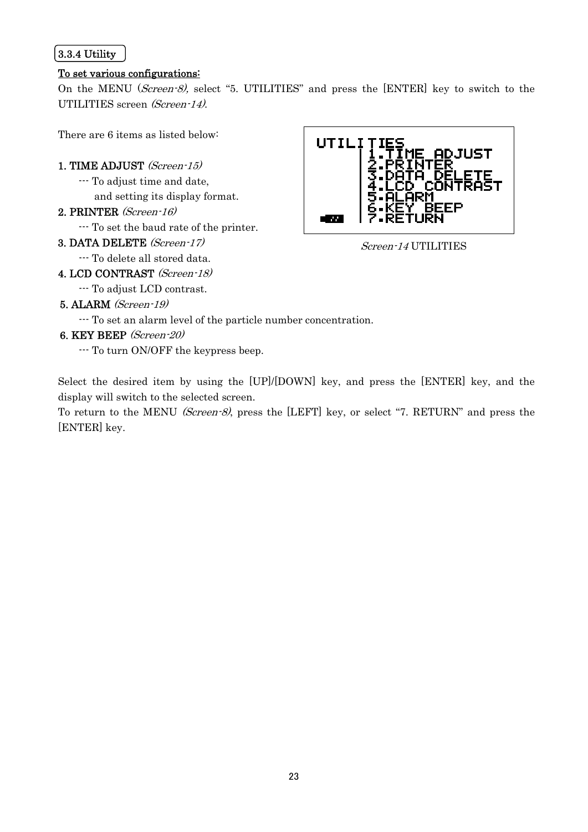#### <span id="page-29-0"></span>3.3.4 Utility

#### To set various configurations:

On the MENU (Screen-8), select "5. UTILITIES" and press the [ENTER] key to switch to the UTILITIES screen (Screen-14).

There are 6 items as listed below:

#### 1. TIME ADJUST (Screen-15)

- --- To adjust time and date,
	- and setting its display format.
- 2. PRINTER (Screen-16)
	- --- To set the baud rate of the printer.
- 3. DATA DELETE (Screen-17) Screen-14 UTILITIES
- --- To delete all stored data.
- 4. LCD CONTRAST (Screen-18)
	- --- To adjust LCD contrast.
- 5. ALARM (Screen-19)
	- --- To set an alarm level of the particle number concentration.
- 6. KEY BEEP (Screen-20)
	- --- To turn ON/OFF the keypress beep.

Select the desired item by using the [UP]/[DOWN] key, and press the [ENTER] key, and the display will switch to the selected screen.

To return to the MENU (Screen-8), press the [LEFT] key, or select "7. RETURN" and press the [ENTER] key.

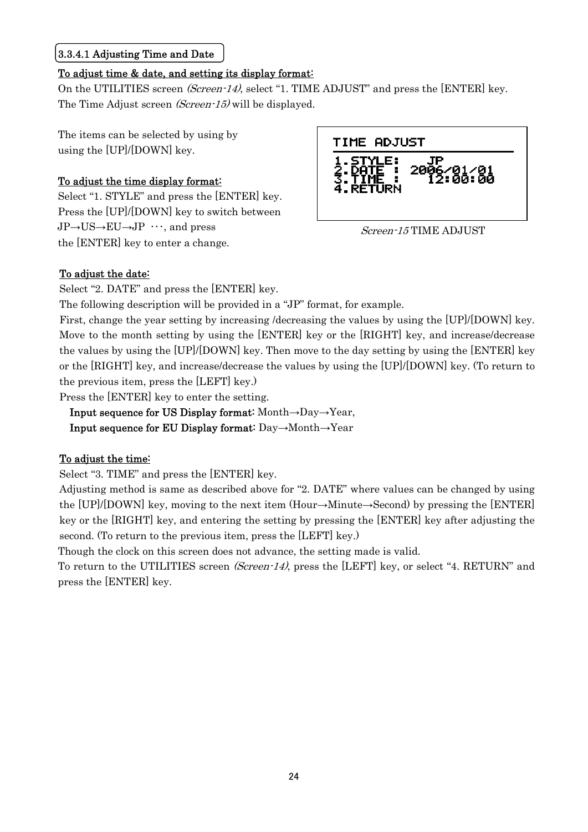#### <span id="page-30-0"></span>3.3.4.1 Adjusting Time and Date

#### To adjust time & date, and setting its display format:

On the UTILITIES screen (Screen-14), select "1. TIME ADJUST" and press the [ENTER] key. The Time Adjust screen *(Screen-15)* will be displayed.

The items can be selected by using by using the [UP]/[DOWN] key.

#### To adjust the time display format:

Select "1. STYLE" and press the [ENTER] key. Press the [UP]/[DOWN] key to switch between  $JP\rightarrow US\rightarrow EU\rightarrow JP$   $\cdots$ , and press  $Screen\text{-}15 \text{TIME ADJUST}$ the [ENTER] key to enter a change.



#### To adjust the date:

Select "2. DATE" and press the [ENTER] key.

The following description will be provided in a "JP" format, for example.

First, change the year setting by increasing /decreasing the values by using the [UP]/[DOWN] key. Move to the month setting by using the [ENTER] key or the [RIGHT] key, and increase/decrease the values by using the [UP]/[DOWN] key. Then move to the day setting by using the [ENTER] key or the [RIGHT] key, and increase/decrease the values by using the [UP]/[DOWN] key. (To return to the previous item, press the [LEFT] key.)

Press the [ENTER] key to enter the setting.

Input sequence for US Display format: Month→Day→Year,

Input sequence for EU Display format: Day→Month→Year

#### To adjust the time:

Select "3. TIME" and press the [ENTER] key.

Adjusting method is same as described above for "2. DATE" where values can be changed by using the [UP]/[DOWN] key, moving to the next item (Hour→Minute→Second) by pressing the [ENTER] key or the [RIGHT] key, and entering the setting by pressing the [ENTER] key after adjusting the second. (To return to the previous item, press the [LEFT] key.)

Though the clock on this screen does not advance, the setting made is valid.

To return to the UTILITIES screen (Screen-14), press the [LEFT] key, or select "4. RETURN" and press the [ENTER] key.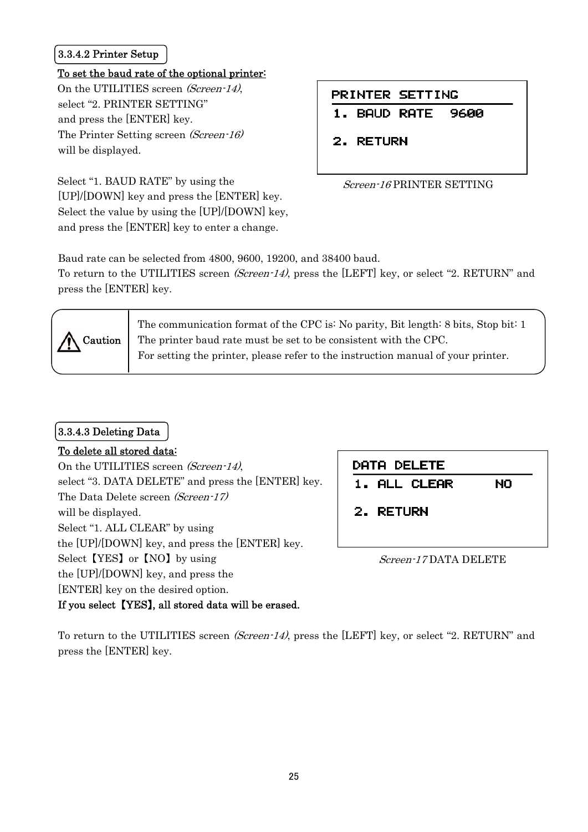#### <span id="page-31-0"></span>3.3.4.2 Printer Setup

#### To set the baud rate of the optional printer:

On the UTILITIES screen (Screen-14), select "2. PRINTER SETTING" and press the [ENTER] key. The Printer Setting screen (Screen-16) will be displayed.

Select "1. BAUD RATE" by using the [UP]/[DOWN] key and press the [ENTER] key. Select the value by using the [UP]/[DOWN] key, and press the [ENTER] key to enter a change.

#### PRINTER SETTING

**BAUD RATE** 9600  $1.$ 

2. RETURN

#### Screen-16 PRINTER SETTING

Baud rate can be selected from 4800, 9600, 19200, and 38400 baud.

To return to the UTILITIES screen *(Screen-14)*, press the [LEFT] key, or select "2. RETURN" and press the [ENTER] key.



The communication format of the CPC is: No parity, Bit length: 8 bits, Stop bit: 1 The printer baud rate must be set to be consistent with the CPC. For setting the printer, please refer to the instruction manual of your printer.

#### 3.3.4.3 Deleting Data

#### To delete all stored data:

On the UTILITIES screen (Screen-14), select "3. DATA DELETE" and press the [ENTER] key. The Data Delete screen (Screen-17) will be displayed. Select "1. ALL CLEAR" by using the [UP]/[DOWN] key, and press the [ENTER] key. Select [YES] or [NO] by using Screen-17 DATA DELETE the [UP]/[DOWN] key, and press the [ENTER] key on the desired option. If you select 【YES】, all stored data will be erased.

| DATA DELETE  |    |
|--------------|----|
| 1. ALL CLEAR | NO |
| 2. RETURN    |    |

To return to the UTILITIES screen (Screen-14), press the [LEFT] key, or select "2. RETURN" and press the [ENTER] key.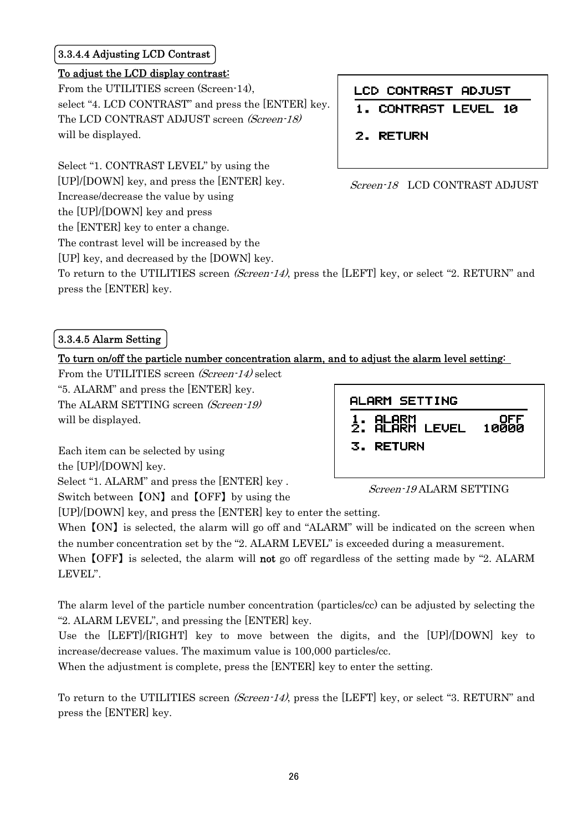#### <span id="page-32-0"></span>3.3.4.4 Adjusting LCD Contrast

#### To adjust the LCD display contrast:

From the UTILITIES screen (Screen-14), select "4. LCD CONTRAST" and press the [ENTER] key. The LCD CONTRAST ADJUST screen (Screen-18) will be displayed.

Select "1. CONTRAST LEVEL" by using the [UP]/[DOWN] key, and press the [ENTER] key.  $Screen-18$  LCD CONTRAST ADJUST Increase/decrease the value by using the [UP]/[DOWN] key and press the [ENTER] key to enter a change. The contrast level will be increased by the

[UP] key, and decreased by the [DOWN] key.

LCD CONTRAST ADJUST

- **CONTRAST LEVEL 10**
- 2. RETURN

To return to the UTILITIES screen *(Screen-14)*, press the [LEFT] key, or select "2. RETURN" and press the [ENTER] key.

#### 3.3.4.5 Alarm Setting

#### To turn on/off the particle number concentration alarm, and to adjust the alarm level setting:

From the UTILITIES screen (Screen-14) select "5. ALARM" and press the [ENTER] key. The ALARM SETTING screen (Screen-19) will be displayed.

Each item can be selected by using the [UP]/[DOWN] key. Select "1. ALARM" and press the [ENTER] key .<br>Switch between [ON] and [OFF] by using the Screen-19 ALARM SETTING



[UP]/[DOWN] key, and press the [ENTER] key to enter the setting.

When  $[ON]$  is selected, the alarm will go off and "ALARM" will be indicated on the screen when the number concentration set by the "2. ALARM LEVEL" is exceeded during a measurement.

When  $[OFF]$  is selected, the alarm will not go off regardless of the setting made by "2. ALARM LEVEL".

The alarm level of the particle number concentration (particles/cc) can be adjusted by selecting the "2. ALARM LEVEL", and pressing the [ENTER] key.

Use the [LEFT]/[RIGHT] key to move between the digits, and the [UP]/[DOWN] key to increase/decrease values. The maximum value is 100,000 particles/cc.

When the adjustment is complete, press the [ENTER] key to enter the setting.

To return to the UTILITIES screen *(Screen-14)*, press the [LEFT] key, or select "3. RETURN" and press the [ENTER] key.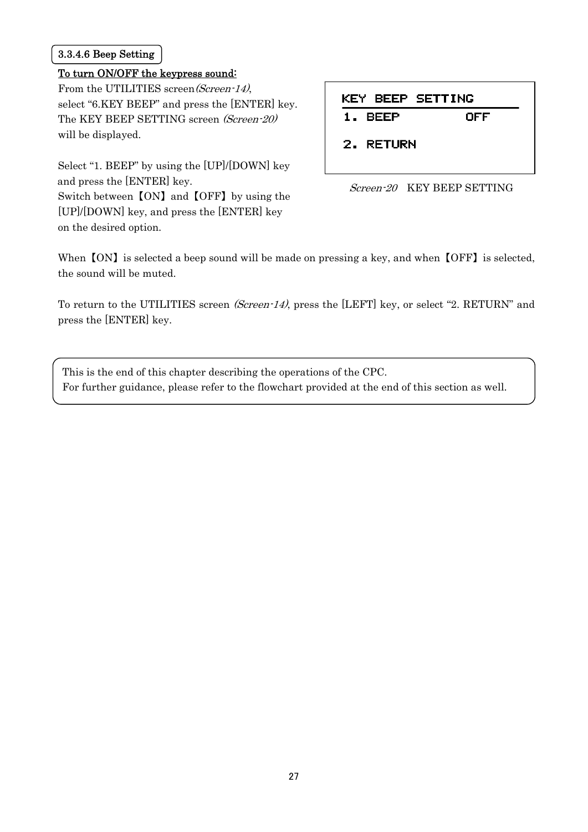#### <span id="page-33-0"></span>3.3.4.6 Beep Setting

#### To turn ON/OFF the keypress sound:

From the UTILITIES screen(Screen-14), select "6.KEY BEEP" and press the [ENTER] key. The KEY BEEP SETTING screen (Screen-20) will be displayed.

Select "1. BEEP" by using the [UP]/[DOWN] key and press the [ENTER] key.<br>Screen-20 KEY BEEP SETTING Switch between 【ON】 and 【OFF】 by using the

[UP]/[DOWN] key, and press the [ENTER] key on the desired option.

| <b>KEY BEEP SETTING</b> |     |
|-------------------------|-----|
| 1. BEEP                 | OFF |
| 2. RETURN               |     |



When  $[ON]$  is selected a beep sound will be made on pressing a key, and when  $[OFF]$  is selected, the sound will be muted.

To return to the UTILITIES screen (Screen-14), press the [LEFT] key, or select "2. RETURN" and press the [ENTER] key.

| This is the end of this chapter describing the operations of the CPC.                            |  |
|--------------------------------------------------------------------------------------------------|--|
| For further guidance, please refer to the flowchart provided at the end of this section as well. |  |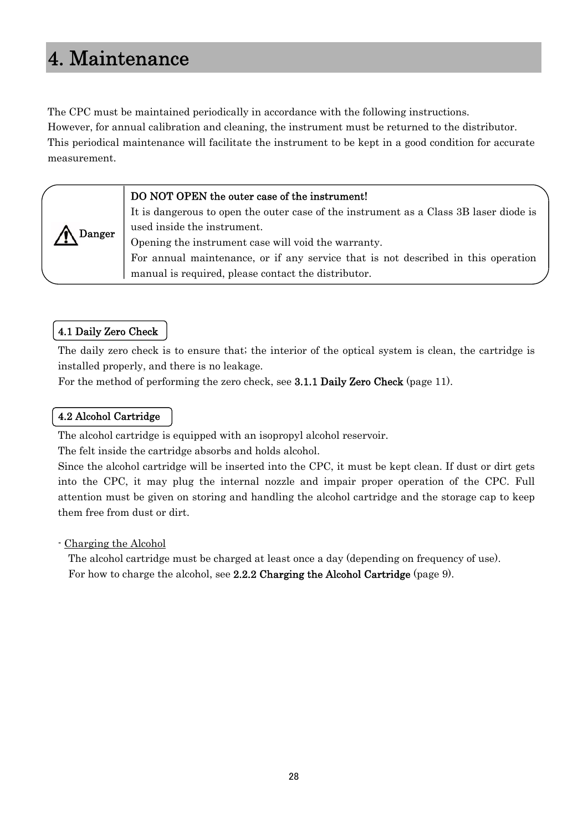## <span id="page-34-0"></span>4. Maintenance

The CPC must be maintained periodically in accordance with the following instructions. However, for annual calibration and cleaning, the instrument must be returned to the distributor. This periodical maintenance will facilitate the instrument to be kept in a good condition for accurate measurement.

#### DO NOT OPEN the outer case of the instrument!

It is dangerous to open the outer case of the instrument as a Class 3B laser diode is used inside the instrument.

Opening the instrument case will void the warranty.

For annual maintenance, or if any service that is not described in this operation manual is required, please contact the distributor.

#### 4.1 Daily Zero Check

Danger

The daily zero check is to ensure that; the interior of the optical system is clean, the cartridge is installed properly, and there is no leakage.

For the method of performing the zero check, see 3.1.1 Daily Zero Check (page 11).

#### 4.2 Alcohol Cartridge

The alcohol cartridge is equipped with an isopropyl alcohol reservoir.

The felt inside the cartridge absorbs and holds alcohol.

Since the alcohol cartridge will be inserted into the CPC, it must be kept clean. If dust or dirt gets into the CPC, it may plug the internal nozzle and impair proper operation of the CPC. Full attention must be given on storing and handling the alcohol cartridge and the storage cap to keep them free from dust or dirt.

#### - Charging the Alcohol

The alcohol cartridge must be charged at least once a day (depending on frequency of use). For how to charge the alcohol, see 2.2.2 Charging the Alcohol Cartridge (page 9).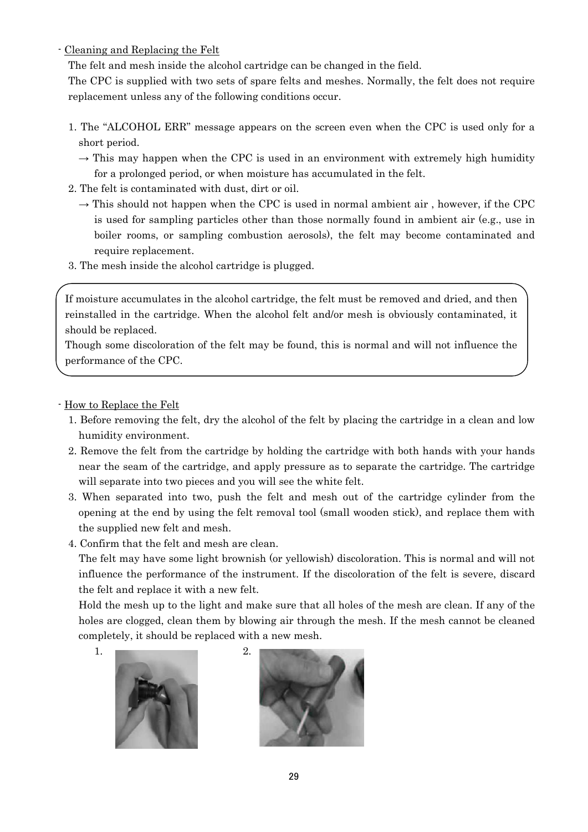- Cleaning and Replacing the Felt

The felt and mesh inside the alcohol cartridge can be changed in the field.

The CPC is supplied with two sets of spare felts and meshes. Normally, the felt does not require replacement unless any of the following conditions occur.

- 1. The "ALCOHOL ERR" message appears on the screen even when the CPC is used only for a short period.
	- $\rightarrow$  This may happen when the CPC is used in an environment with extremely high humidity for a prolonged period, or when moisture has accumulated in the felt.
- 2. The felt is contaminated with dust, dirt or oil.
	- $\rightarrow$  This should not happen when the CPC is used in normal ambient air, however, if the CPC is used for sampling particles other than those normally found in ambient air (e.g., use in boiler rooms, or sampling combustion aerosols), the felt may become contaminated and require replacement.
- 3. The mesh inside the alcohol cartridge is plugged.

 reinstalled in the cartridge. When the alcohol felt and/or mesh is obviously contaminated, it If moisture accumulates in the alcohol cartridge, the felt must be removed and dried, and then should be replaced.

Though some discoloration of the felt may be found, this is normal and will not influence the performance of the CPC.

- How to Replace the Felt
	- 1. Before removing the felt, dry the alcohol of the felt by placing the cartridge in a clean and low humidity environment.
	- 2. Remove the felt from the cartridge by holding the cartridge with both hands with your hands near the seam of the cartridge, and apply pressure as to separate the cartridge. The cartridge will separate into two pieces and you will see the white felt.
	- 3. When separated into two, push the felt and mesh out of the cartridge cylinder from the opening at the end by using the felt removal tool (small wooden stick), and replace them with the supplied new felt and mesh.
	- 4. Confirm that the felt and mesh are clean.

 The felt may have some light brownish (or yellowish) discoloration. This is normal and will not influence the performance of the instrument. If the discoloration of the felt is severe, discard the felt and replace it with a new felt.

Hold the mesh up to the light and make sure that all holes of the mesh are clean. If any of the holes are clogged, clean them by blowing air through the mesh. If the mesh cannot be cleaned completely, it should be replaced with a new mesh.



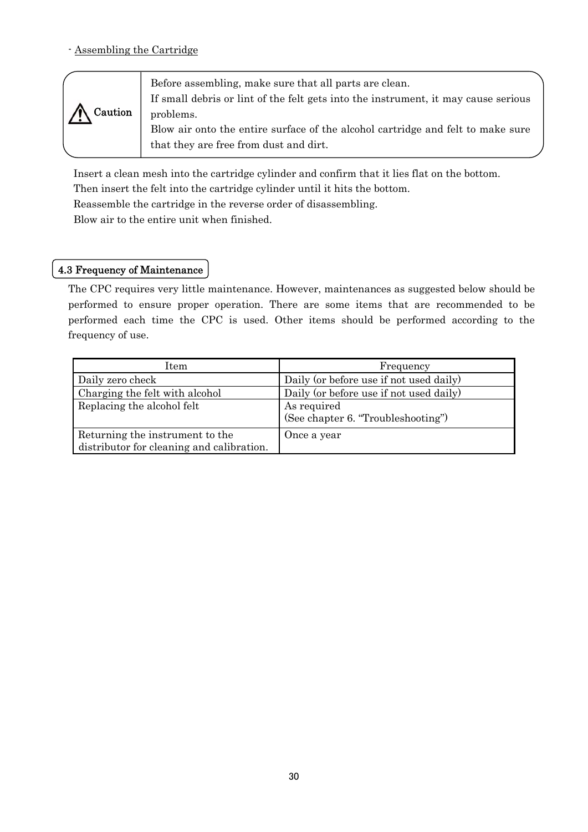<span id="page-36-0"></span>- Assembling the Cartridge

| Before assembling, make sure that all parts are clean.                             |  |
|------------------------------------------------------------------------------------|--|
| If small debris or lint of the felt gets into the instrument, it may cause serious |  |
| problems.                                                                          |  |
| Blow air onto the entire surface of the alcohol cartridge and felt to make sure    |  |
| that they are free from dust and dirt.                                             |  |
|                                                                                    |  |

Insert a clean mesh into the cartridge cylinder and confirm that it lies flat on the bottom.

Then insert the felt into the cartridge cylinder until it hits the bottom.

Reassemble the cartridge in the reverse order of disassembling.

Blow air to the entire unit when finished.

#### 4.3 Frequency of Maintenance

The CPC requires very little maintenance. However, maintenances as suggested below should be performed to ensure proper operation. There are some items that are recommended to be performed each time the CPC is used. Other items should be performed according to the frequency of use.

| Item                                                                         | Frequency                                         |
|------------------------------------------------------------------------------|---------------------------------------------------|
| Daily zero check                                                             | Daily (or before use if not used daily)           |
| Charging the felt with alcohol                                               | Daily (or before use if not used daily)           |
| Replacing the alcohol felt                                                   | As required<br>(See chapter 6. "Troubleshooting") |
| Returning the instrument to the<br>distributor for cleaning and calibration. | Once a year                                       |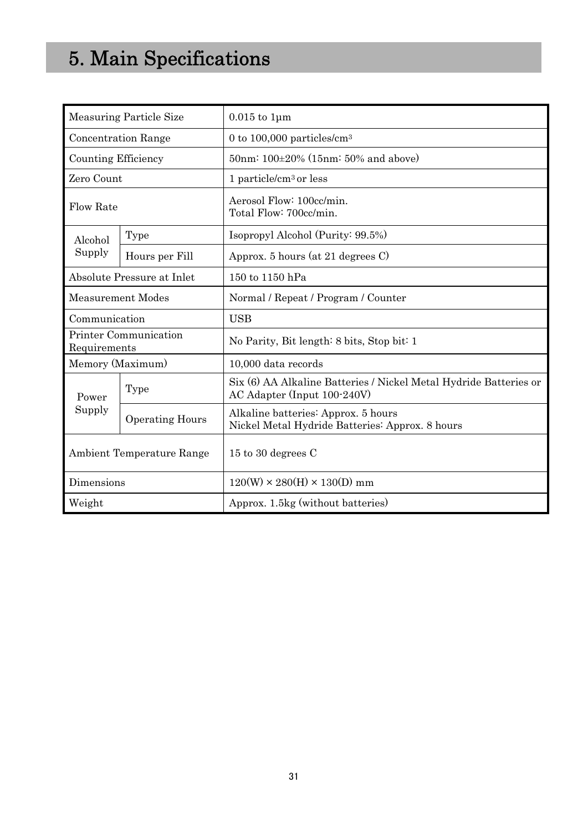# <span id="page-37-0"></span>5. Main Specifications

|                                       | <b>Measuring Particle Size</b> | $0.015$ to $1 \mu m$                                                                             |  |
|---------------------------------------|--------------------------------|--------------------------------------------------------------------------------------------------|--|
|                                       | <b>Concentration Range</b>     | 0 to 100,000 particles/ $cm3$                                                                    |  |
| <b>Counting Efficiency</b>            |                                | 50nm: 100±20% (15nm: 50% and above)                                                              |  |
| Zero Count                            |                                | 1 particle/ $cm3$ or less                                                                        |  |
| <b>Flow Rate</b>                      |                                | Aerosol Flow: 100cc/min.<br>Total Flow: 700cc/min.                                               |  |
| Alcohol                               | Type                           | Isopropyl Alcohol (Purity: 99.5%)                                                                |  |
| Supply                                | Hours per Fill                 | Approx. 5 hours (at 21 degrees C)                                                                |  |
| <b>Absolute Pressure at Inlet</b>     |                                | 150 to 1150 hPa                                                                                  |  |
| <b>Measurement Modes</b>              |                                | Normal / Repeat / Program / Counter                                                              |  |
| Communication                         |                                | <b>USB</b>                                                                                       |  |
| Printer Communication<br>Requirements |                                | No Parity, Bit length: 8 bits, Stop bit: 1                                                       |  |
| Memory (Maximum)                      |                                | 10,000 data records                                                                              |  |
| Power                                 | Type                           | Six (6) AA Alkaline Batteries / Nickel Metal Hydride Batteries or<br>AC Adapter (Input 100-240V) |  |
| Supply                                | <b>Operating Hours</b>         | Alkaline batteries: Approx. 5 hours<br>Nickel Metal Hydride Batteries: Approx. 8 hours           |  |
| <b>Ambient Temperature Range</b>      |                                | 15 to 30 degrees C                                                                               |  |
| Dimensions                            |                                | $120(W) \times 280(H) \times 130(D)$ mm                                                          |  |
| Weight                                |                                | Approx. 1.5kg (without batteries)                                                                |  |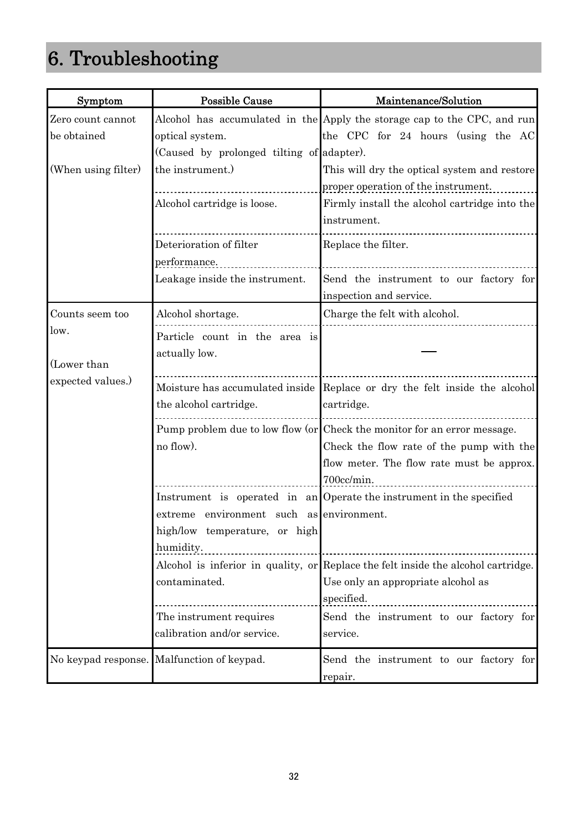# <span id="page-38-0"></span>6. Troubleshooting

| Symptom             | <b>Possible Cause</b>                      | Maintenance/Solution                                                              |
|---------------------|--------------------------------------------|-----------------------------------------------------------------------------------|
| Zero count cannot   |                                            | Alcohol has accumulated in the Apply the storage cap to the CPC, and run          |
| be obtained         | optical system.                            | the CPC for 24 hours (using the AC                                                |
|                     | (Caused by prolonged tilting of adapter).  |                                                                                   |
| (When using filter) | the instrument.)                           | This will dry the optical system and restore                                      |
|                     |                                            | proper operation of the instrument.                                               |
|                     | Alcohol cartridge is loose.                | Firmly install the alcohol cartridge into the                                     |
|                     |                                            | instrument.                                                                       |
|                     | Deterioration of filter                    | Replace the filter.                                                               |
|                     | performance.                               |                                                                                   |
|                     | Leakage inside the instrument.             | Send the instrument to our factory for                                            |
|                     |                                            | inspection and service.                                                           |
| Counts seem too     | Alcohol shortage.                          | Charge the felt with alcohol.                                                     |
| low.                | Particle count in the area is              |                                                                                   |
|                     | actually low.                              |                                                                                   |
| (Lower than         |                                            |                                                                                   |
| expected values.)   |                                            | Moisture has accumulated inside Replace or dry the felt inside the alcohol        |
|                     | the alcohol cartridge.                     | cartridge.                                                                        |
|                     |                                            | Pump problem due to low flow (or Check the monitor for an error message.          |
|                     | no flow).                                  | Check the flow rate of the pump with the                                          |
|                     |                                            | flow meter. The flow rate must be approx.                                         |
|                     |                                            | 700cc/min.                                                                        |
|                     |                                            | Instrument is operated in an Operate the instrument in the specified              |
|                     | extreme environment such as environment.   |                                                                                   |
|                     | high/low temperature, or high              |                                                                                   |
|                     | humidity.                                  |                                                                                   |
|                     |                                            | Alcohol is inferior in quality, or Replace the felt inside the alcohol cartridge. |
|                     | contaminated.                              | Use only an appropriate alcohol as                                                |
|                     |                                            | specified.                                                                        |
|                     | The instrument requires                    | Send the instrument to our factory for                                            |
|                     | calibration and/or service.                | service.                                                                          |
|                     | No keypad response. Malfunction of keypad. | Send the instrument to our factory for                                            |
|                     |                                            | repair.                                                                           |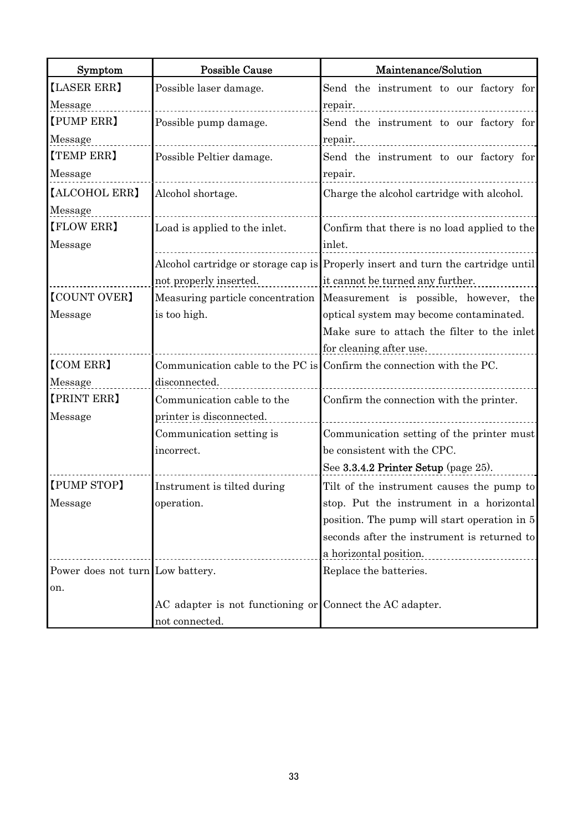| Symptom                          | <b>Possible Cause</b>                                    | Maintenance/Solution                                                             |  |
|----------------------------------|----------------------------------------------------------|----------------------------------------------------------------------------------|--|
| [LASER ERR]                      | Possible laser damage.                                   | Send the instrument to our factory for                                           |  |
| Message                          |                                                          | repair.                                                                          |  |
| [PUMP ERR]                       | Possible pump damage.                                    | Send the instrument to our factory for                                           |  |
| Message                          |                                                          | repair.                                                                          |  |
| <b>(TEMP ERR)</b>                | Possible Peltier damage.                                 | Send the instrument to our factory for                                           |  |
| Message                          |                                                          | repair.                                                                          |  |
| [ALCOHOL ERR]                    | Alcohol shortage.                                        | Charge the alcohol cartridge with alcohol.                                       |  |
| Message                          |                                                          |                                                                                  |  |
| <b>[FLOW ERR]</b>                | Load is applied to the inlet.                            | Confirm that there is no load applied to the                                     |  |
| Message                          |                                                          | inlet.                                                                           |  |
|                                  |                                                          | Alcohol cartridge or storage cap is Properly insert and turn the cartridge until |  |
|                                  | not properly inserted.                                   | it cannot be turned any further.                                                 |  |
| <b>[COUNT OVER]</b>              | Measuring particle concentration                         | Measurement is possible, however, the                                            |  |
| Message                          | is too high.                                             | optical system may become contaminated.                                          |  |
|                                  |                                                          | Make sure to attach the filter to the inlet                                      |  |
|                                  |                                                          | for cleaning after use.                                                          |  |
| <b>[COM ERR]</b>                 |                                                          | Communication cable to the PC is Confirm the connection with the PC.             |  |
| Message                          | disconnected.                                            |                                                                                  |  |
| [PRINT ERR]                      | Communication cable to the                               | Confirm the connection with the printer.                                         |  |
| Message                          | printer is disconnected.                                 |                                                                                  |  |
|                                  | Communication setting is                                 | Communication setting of the printer must                                        |  |
|                                  | incorrect.                                               | be consistent with the CPC.                                                      |  |
|                                  |                                                          | See $3.3.4.2$ Printer Setup (page $25$ ).                                        |  |
| [PUMP STOP]                      | Instrument is tilted during                              | Tilt of the instrument causes the pump to                                        |  |
| Message                          | operation.                                               | stop. Put the instrument in a horizontal                                         |  |
|                                  |                                                          | position. The pump will start operation in 5                                     |  |
|                                  |                                                          | seconds after the instrument is returned to                                      |  |
|                                  |                                                          | a horizontal position.                                                           |  |
| Power does not turn Low battery. |                                                          | Replace the batteries.                                                           |  |
| on.                              |                                                          |                                                                                  |  |
|                                  | AC adapter is not functioning or Connect the AC adapter. |                                                                                  |  |
|                                  | not connected.                                           |                                                                                  |  |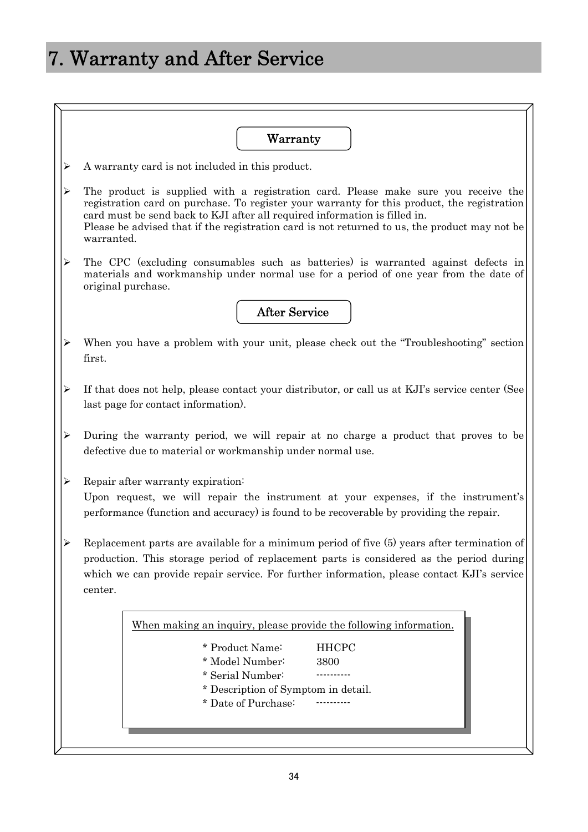# <span id="page-40-0"></span>7. Warranty and After Service

|                       | Warranty                                                                                                                                                                                                                                                                                                                                                                       |  |  |
|-----------------------|--------------------------------------------------------------------------------------------------------------------------------------------------------------------------------------------------------------------------------------------------------------------------------------------------------------------------------------------------------------------------------|--|--|
| ➤                     | A warranty card is not included in this product.                                                                                                                                                                                                                                                                                                                               |  |  |
|                       | The product is supplied with a registration card. Please make sure you receive the<br>registration card on purchase. To register your warranty for this product, the registration<br>card must be send back to KJI after all required information is filled in.<br>Please be advised that if the registration card is not returned to us, the product may not be<br>warranted. |  |  |
| ➤                     | The CPC (excluding consumables such as batteries) is warranted against defects in<br>materials and workmanship under normal use for a period of one year from the date of<br>original purchase.                                                                                                                                                                                |  |  |
|                       | <b>After Service</b>                                                                                                                                                                                                                                                                                                                                                           |  |  |
|                       | When you have a problem with your unit, please check out the "Troubleshooting" section<br>first.                                                                                                                                                                                                                                                                               |  |  |
| $\blacktriangleright$ | If that does not help, please contact your distributor, or call us at KJI's service center (See<br>last page for contact information).                                                                                                                                                                                                                                         |  |  |
| $\blacktriangleright$ | During the warranty period, we will repair at no charge a product that proves to be<br>defective due to material or workmanship under normal use.                                                                                                                                                                                                                              |  |  |
| ⋗                     | Repair after warranty expiration:<br>Upon request, we will repair the instrument at your expenses, if the instrument's<br>performance (function and accuracy) is found to be recoverable by providing the repair.                                                                                                                                                              |  |  |
|                       | Replacement parts are available for a minimum period of five (5) years after termination of<br>production. This storage period of replacement parts is considered as the period during<br>which we can provide repair service. For further information, please contact KJI's service<br>center.                                                                                |  |  |
|                       | When making an inquiry, please provide the following information.<br>* Product Name:<br><b>HHCPC</b>                                                                                                                                                                                                                                                                           |  |  |
|                       | * Model Number:<br>3800<br>* Serial Number:<br>* Description of Symptom in detail.<br>* Date of Purchase:                                                                                                                                                                                                                                                                      |  |  |
|                       |                                                                                                                                                                                                                                                                                                                                                                                |  |  |